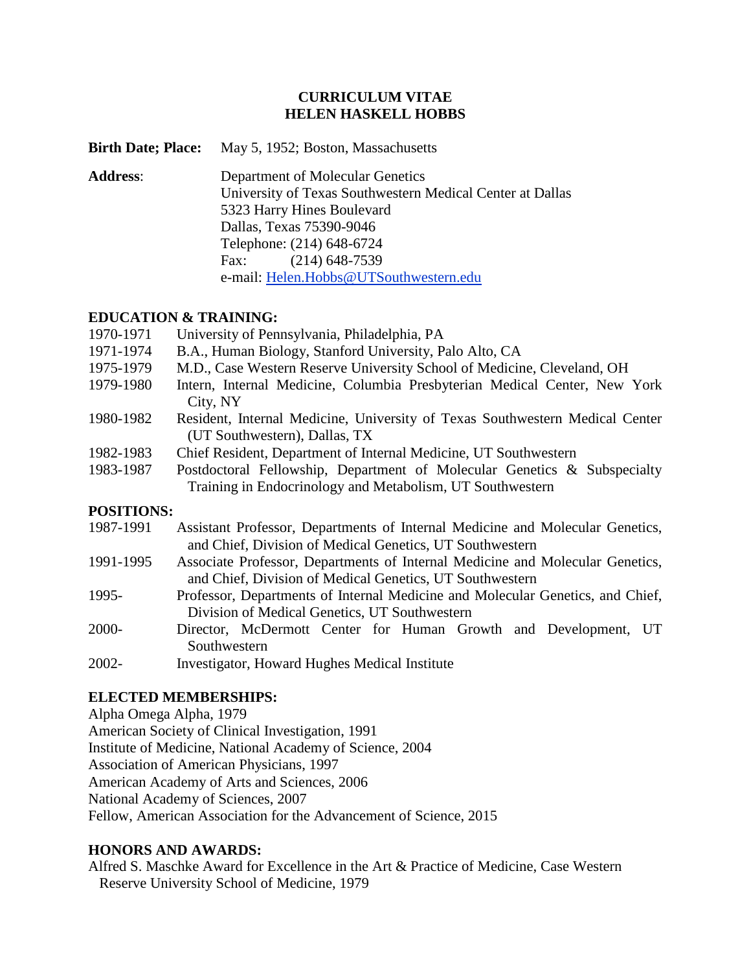## **CURRICULUM VITAE HELEN HASKELL HOBBS**

| Birth Date; Place: | May 5, 1952; Boston, Massachusetts                        |
|--------------------|-----------------------------------------------------------|
| <b>Address:</b>    | Department of Molecular Genetics                          |
|                    | University of Texas Southwestern Medical Center at Dallas |
|                    | 5323 Harry Hines Boulevard                                |
|                    | Dallas, Texas 75390-9046                                  |
|                    | Telephone: (214) 648-6724                                 |
|                    | $(214)$ 648-7539<br>Fax:                                  |
|                    | e-mail: Helen.Hobbs@UTSouthwestern.edu                    |

## **EDUCATION & TRAINING:**

- 1970-1971 University of Pennsylvania, Philadelphia, PA
- 1971-1974 B.A., Human Biology, Stanford University, Palo Alto, CA
- 1975-1979 M.D., Case Western Reserve University School of Medicine, Cleveland, OH
- 1979-1980 Intern, Internal Medicine, Columbia Presbyterian Medical Center, New York City, NY
- 1980-1982 Resident, Internal Medicine, University of Texas Southwestern Medical Center (UT Southwestern), Dallas, TX
- 1982-1983 Chief Resident, Department of Internal Medicine, UT Southwestern
- 1983-1987 Postdoctoral Fellowship, Department of Molecular Genetics & Subspecialty Training in Endocrinology and Metabolism, UT Southwestern

#### **POSITIONS:**

- 1987-1991 Assistant Professor, Departments of Internal Medicine and Molecular Genetics, and Chief, Division of Medical Genetics, UT Southwestern
- 1991-1995 Associate Professor, Departments of Internal Medicine and Molecular Genetics, and Chief, Division of Medical Genetics, UT Southwestern
- 1995- Professor, Departments of Internal Medicine and Molecular Genetics, and Chief, Division of Medical Genetics, UT Southwestern
- 2000- Director, McDermott Center for Human Growth and Development, UT Southwestern
- 2002- Investigator, Howard Hughes Medical Institute

# **ELECTED MEMBERSHIPS:**

Alpha Omega Alpha, 1979 American Society of Clinical Investigation, 1991 Institute of Medicine, National Academy of Science, 2004 Association of American Physicians, 1997 American Academy of Arts and Sciences, 2006 National Academy of Sciences, 2007 Fellow, American Association for the Advancement of Science, 2015

# **HONORS AND AWARDS:**

Alfred S. Maschke Award for Excellence in the Art & Practice of Medicine, Case Western Reserve University School of Medicine, 1979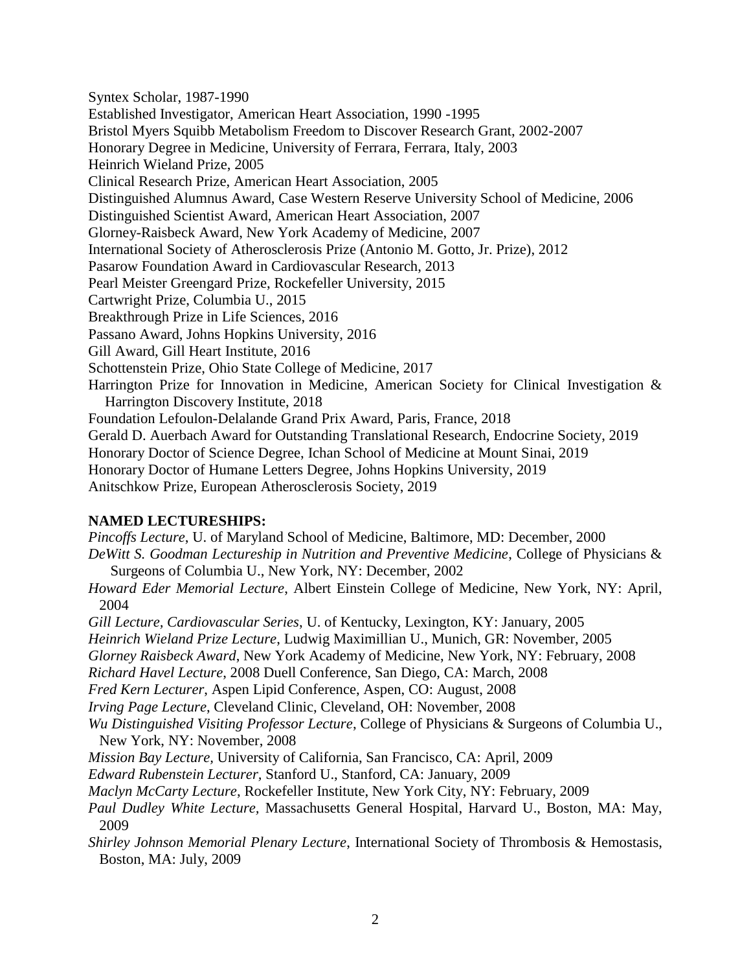Syntex Scholar, 1987-1990 Established Investigator, American Heart Association, 1990 -1995 Bristol Myers Squibb Metabolism Freedom to Discover Research Grant, 2002-2007 Honorary Degree in Medicine, University of Ferrara, Ferrara, Italy, 2003 Heinrich Wieland Prize, 2005 Clinical Research Prize, American Heart Association, 2005 Distinguished Alumnus Award, Case Western Reserve University School of Medicine, 2006 Distinguished Scientist Award, American Heart Association, 2007 Glorney-Raisbeck Award, New York Academy of Medicine, 2007 International Society of Atherosclerosis Prize (Antonio M. Gotto, Jr. Prize), 2012 Pasarow Foundation Award in Cardiovascular Research, 2013 Pearl Meister Greengard Prize, Rockefeller University, 2015 Cartwright Prize, Columbia U., 2015 Breakthrough Prize in Life Sciences, 2016 Passano Award, Johns Hopkins University, 2016 Gill Award, Gill Heart Institute, 2016 Schottenstein Prize, Ohio State College of Medicine, 2017 Harrington Prize for Innovation in Medicine, American Society for Clinical Investigation & Harrington Discovery Institute, 2018 Foundation Lefoulon-Delalande Grand Prix Award, Paris, France, 2018 Gerald D. Auerbach Award for Outstanding Translational Research, Endocrine Society, 2019 Honorary Doctor of Science Degree, Ichan School of Medicine at Mount Sinai, 2019 Honorary Doctor of Humane Letters Degree, Johns Hopkins University, 2019

Anitschkow Prize, European Atherosclerosis Society, 2019

# **NAMED LECTURESHIPS:**

*Pincoffs Lecture*, U. of Maryland School of Medicine, Baltimore, MD: December, 2000 *DeWitt S. Goodman Lectureship in Nutrition and Preventive Medicine*, College of Physicians & Surgeons of Columbia U., New York, NY: December, 2002 *Howard Eder Memorial Lecture*, Albert Einstein College of Medicine, New York, NY: April,

2004 *Gill Lecture, Cardiovascular Series*, U. of Kentucky, Lexington, KY: January, 2005

*Heinrich Wieland Prize Lecture*, Ludwig Maximillian U., Munich, GR: November, 2005

*Glorney Raisbeck Award*, New York Academy of Medicine, New York, NY: February, 2008

*Richard Havel Lecture*, 2008 Duell Conference, San Diego, CA: March, 2008

*Fred Kern Lecturer*, Aspen Lipid Conference, Aspen, CO: August, 2008

*Irving Page Lecture*, Cleveland Clinic, Cleveland, OH: November, 2008

*Wu Distinguished Visiting Professor Lecture*, College of Physicians & Surgeons of Columbia U., New York, NY: November, 2008

*Mission Bay Lecture,* University of California, San Francisco, CA: April, 2009

*Edward Rubenstein Lecturer,* Stanford U., Stanford, CA: January, 2009

*Maclyn McCarty Lecture*, Rockefeller Institute, New York City, NY: February, 2009

*Paul Dudley White Lecture,* Massachusetts General Hospital, Harvard U., Boston, MA: May, 2009

*Shirley Johnson Memorial Plenary Lecture*, International Society of Thrombosis & Hemostasis, Boston, MA: July, 2009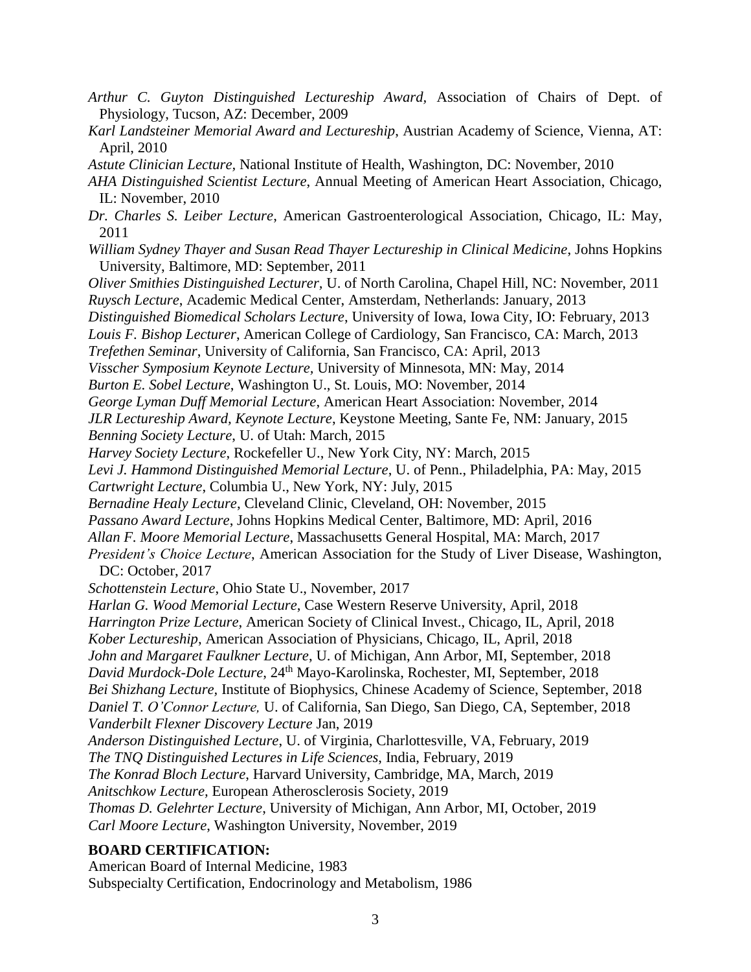- *Arthur C. Guyton Distinguished Lectureship Award,* Association of Chairs of Dept. of Physiology, Tucson, AZ: December, 2009
- *Karl Landsteiner Memorial Award and Lectureship*, Austrian Academy of Science, Vienna, AT: April, 2010
- *Astute Clinician Lecture,* National Institute of Health, Washington, DC: November, 2010
- *AHA Distinguished Scientist Lecture*, Annual Meeting of American Heart Association, Chicago, IL: November, 2010
- *Dr. Charles S. Leiber Lecture*, American Gastroenterological Association, Chicago, IL: May, 2011
- *William Sydney Thayer and Susan Read Thayer Lectureship in Clinical Medicine*, Johns Hopkins University, Baltimore, MD: September, 2011
- *Oliver Smithies Distinguished Lecturer,* U. of North Carolina, Chapel Hill, NC: November, 2011 *Ruysch Lecture*, Academic Medical Center, Amsterdam, Netherlands: January, 2013
- *Distinguished Biomedical Scholars Lecture*, University of Iowa, Iowa City, IO: February, 2013
- *Louis F. Bishop Lecturer*, American College of Cardiology, San Francisco, CA: March, 2013
- *Trefethen Seminar*, University of California, San Francisco, CA: April, 2013
- *Visscher Symposium Keynote Lecture,* University of Minnesota, MN: May, 2014
- *Burton E. Sobel Lecture*, Washington U., St. Louis, MO: November, 2014
- *George Lyman Duff Memorial Lecture*, American Heart Association: November, 2014
- *JLR Lectureship Award, Keynote Lecture*, Keystone Meeting, Sante Fe, NM: January, 2015
- *Benning Society Lecture*, U. of Utah: March, 2015
- *Harvey Society Lecture*, Rockefeller U., New York City, NY: March, 2015
- *Levi J. Hammond Distinguished Memorial Lecture*, U. of Penn., Philadelphia, PA: May, 2015
- *Cartwright Lecture*, Columbia U., New York, NY: July, 2015
- *Bernadine Healy Lecture*, Cleveland Clinic, Cleveland, OH: November, 2015
- *Passano Award Lecture*, Johns Hopkins Medical Center, Baltimore, MD: April, 2016
- *Allan F. Moore Memorial Lecture*, Massachusetts General Hospital, MA: March, 2017
- *President's Choice Lecture*, American Association for the Study of Liver Disease, Washington, DC: October, 2017
- *Schottenstein Lecture*, Ohio State U., November, 2017
- *Harlan G. Wood Memorial Lecture*, Case Western Reserve University, April, 2018
- *Harrington Prize Lecture*, American Society of Clinical Invest., Chicago, IL, April, 2018
- *Kober Lectureship*, American Association of Physicians, Chicago, IL, April, 2018
- *John and Margaret Faulkner Lecture*, U. of Michigan, Ann Arbor, MI, September, 2018
- *David Murdock-Dole Lecture*, 24th Mayo-Karolinska, Rochester, MI, September, 2018
- *Bei Shizhang Lecture,* Institute of Biophysics, Chinese Academy of Science, September, 2018
- *Daniel T. O'Connor Lecture,* U. of California, San Diego, San Diego, CA, September, 2018 *Vanderbilt Flexner Discovery Lecture* Jan, 2019
- *Anderson Distinguished Lecture*, U. of Virginia, Charlottesville, VA, February, 2019
- *The TNQ Distinguished Lectures in Life Sciences*, India, February, 2019
- *The Konrad Bloch Lecture*, Harvard University, Cambridge, MA, March, 2019
- *Anitschkow Lecture,* European Atherosclerosis Society, 2019
- *Thomas D. Gelehrter Lecture*, University of Michigan, Ann Arbor, MI, October, 2019 *Carl Moore Lecture*, Washington University, November, 2019

#### **BOARD CERTIFICATION:**

American Board of Internal Medicine, 1983 Subspecialty Certification, Endocrinology and Metabolism, 1986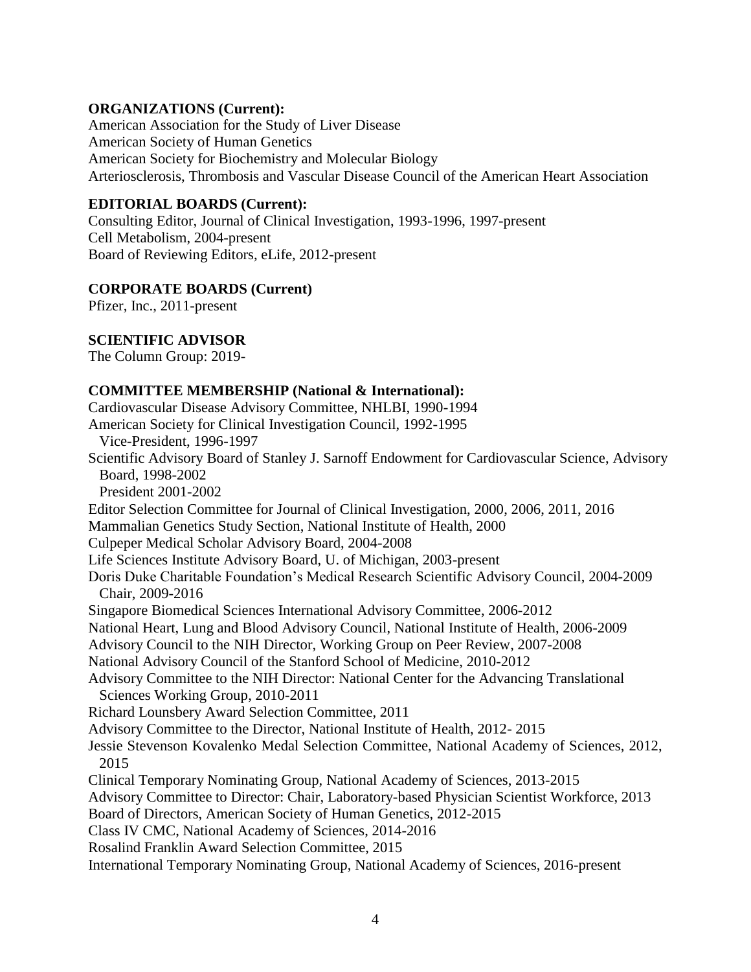### **ORGANIZATIONS (Current):**

American Association for the Study of Liver Disease American Society of Human Genetics American Society for Biochemistry and Molecular Biology Arteriosclerosis, Thrombosis and Vascular Disease Council of the American Heart Association

# **EDITORIAL BOARDS (Current):**

Consulting Editor, Journal of Clinical Investigation, 1993-1996, 1997-present Cell Metabolism, 2004-present Board of Reviewing Editors, eLife, 2012-present

## **CORPORATE BOARDS (Current)**

Pfizer, Inc., 2011-present

#### **SCIENTIFIC ADVISOR**

The Column Group: 2019-

## **COMMITTEE MEMBERSHIP (National & International):**

Cardiovascular Disease Advisory Committee, NHLBI, 1990-1994 American Society for Clinical Investigation Council, 1992-1995 Vice-President, 1996-1997 Scientific Advisory Board of Stanley J. Sarnoff Endowment for Cardiovascular Science, Advisory Board, 1998-2002 President 2001-2002 Editor Selection Committee for Journal of Clinical Investigation, 2000, 2006, 2011, 2016 Mammalian Genetics Study Section, National Institute of Health, 2000 Culpeper Medical Scholar Advisory Board, 2004-2008 Life Sciences Institute Advisory Board, U. of Michigan, 2003-present Doris Duke Charitable Foundation's Medical Research Scientific Advisory Council, 2004-2009 Chair, 2009-2016 Singapore Biomedical Sciences International Advisory Committee, 2006-2012 National Heart, Lung and Blood Advisory Council, National Institute of Health, 2006-2009 Advisory Council to the NIH Director, Working Group on Peer Review, 2007-2008 National Advisory Council of the Stanford School of Medicine, 2010-2012 Advisory Committee to the NIH Director: National Center for the Advancing Translational Sciences Working Group, 2010-2011 Richard Lounsbery Award Selection Committee, 2011 Advisory Committee to the Director, National Institute of Health, 2012- 2015 Jessie Stevenson Kovalenko Medal Selection Committee, National Academy of Sciences, 2012, 2015 Clinical Temporary Nominating Group, National Academy of Sciences, 2013-2015 Advisory Committee to Director: Chair, Laboratory-based Physician Scientist Workforce, 2013 Board of Directors, American Society of Human Genetics, 2012-2015 Class IV CMC, National Academy of Sciences, 2014-2016 Rosalind Franklin Award Selection Committee, 2015 International Temporary Nominating Group, National Academy of Sciences, 2016-present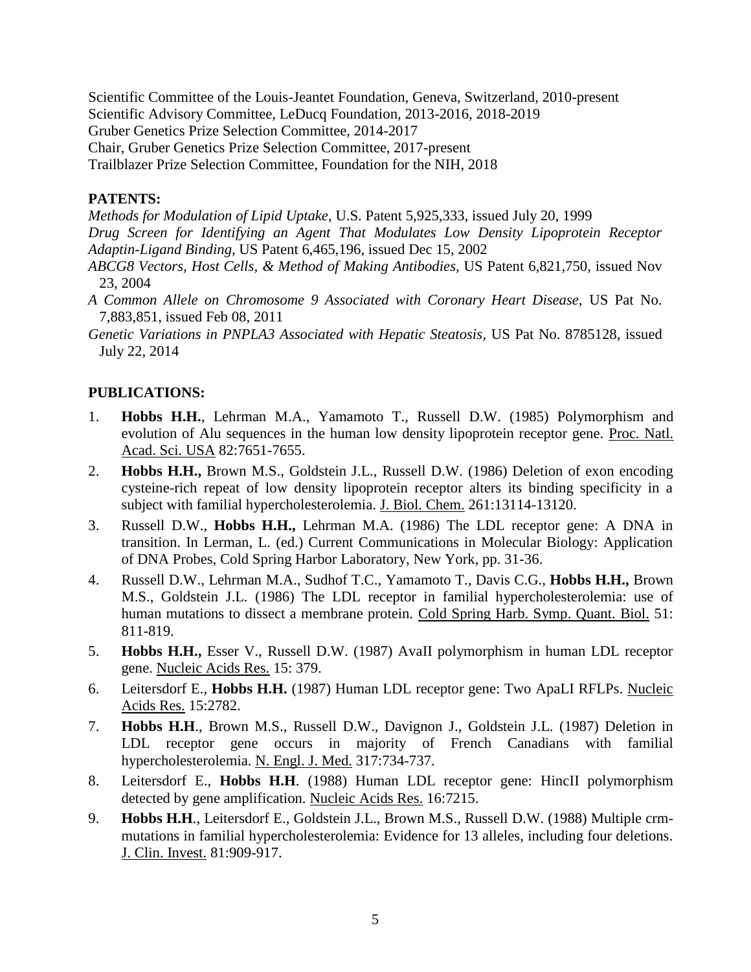Scientific Committee of the Louis-Jeantet Foundation, Geneva, Switzerland, 2010-present Scientific Advisory Committee, LeDucq Foundation, 2013-2016, 2018-2019 Gruber Genetics Prize Selection Committee, 2014-2017

Chair, Gruber Genetics Prize Selection Committee, 2017-present

Trailblazer Prize Selection Committee, Foundation for the NIH, 2018

# **PATENTS:**

*Methods for Modulation of Lipid Uptake*, U.S. Patent 5,925,333, issued July 20, 1999

*Drug Screen for Identifying an Agent That Modulates Low Density Lipoprotein Receptor Adaptin-Ligand Binding,* US Patent 6,465,196, issued Dec 15, 2002

- *ABCG8 Vectors, Host Cells, & Method of Making Antibodies,* US Patent 6,821,750, issued Nov 23, 2004
- *A Common Allele on Chromosome 9 Associated with Coronary Heart Disease,* US Pat No. 7,883,851, issued Feb 08, 2011
- *Genetic Variations in PNPLA3 Associated with Hepatic Steatosis,* US Pat No. 8785128, issued July 22, 2014

# **PUBLICATIONS:**

- 1. **Hobbs H.H.**, Lehrman M.A., Yamamoto T., Russell D.W. (1985) Polymorphism and evolution of Alu sequences in the human low density lipoprotein receptor gene. Proc. Natl. Acad. Sci. USA 82:7651-7655.
- 2. **Hobbs H.H.,** Brown M.S., Goldstein J.L., Russell D.W. (1986) Deletion of exon encoding cysteine-rich repeat of low density lipoprotein receptor alters its binding specificity in a subject with familial hypercholesterolemia. J. Biol. Chem. 261:13114-13120.
- 3. Russell D.W., **Hobbs H.H.,** Lehrman M.A. (1986) The LDL receptor gene: A DNA in transition. In Lerman, L. (ed.) Current Communications in Molecular Biology: Application of DNA Probes, Cold Spring Harbor Laboratory, New York, pp. 31-36.
- 4. Russell D.W., Lehrman M.A., Sudhof T.C., Yamamoto T., Davis C.G., **Hobbs H.H.,** Brown M.S., Goldstein J.L. (1986) The LDL receptor in familial hypercholesterolemia: use of human mutations to dissect a membrane protein. Cold Spring Harb. Symp. Quant. Biol. 51: 811-819.
- 5. **Hobbs H.H.,** Esser V., Russell D.W. (1987) AvaII polymorphism in human LDL receptor gene. Nucleic Acids Res. 15: 379.
- 6. Leitersdorf E., **Hobbs H.H.** (1987) Human LDL receptor gene: Two ApaLI RFLPs. Nucleic Acids Res. 15:2782.
- 7. **Hobbs H.H**., Brown M.S., Russell D.W., Davignon J., Goldstein J.L. (1987) Deletion in LDL receptor gene occurs in majority of French Canadians with familial hypercholesterolemia. N. Engl. J. Med. 317:734-737.
- 8. Leitersdorf E., **Hobbs H.H**. (1988) Human LDL receptor gene: HincII polymorphism detected by gene amplification. Nucleic Acids Res. 16:7215.
- 9. **Hobbs H.H**., Leitersdorf E., Goldstein J.L., Brown M.S., Russell D.W. (1988) Multiple crmmutations in familial hypercholesterolemia: Evidence for 13 alleles, including four deletions. J. Clin. Invest. 81:909-917.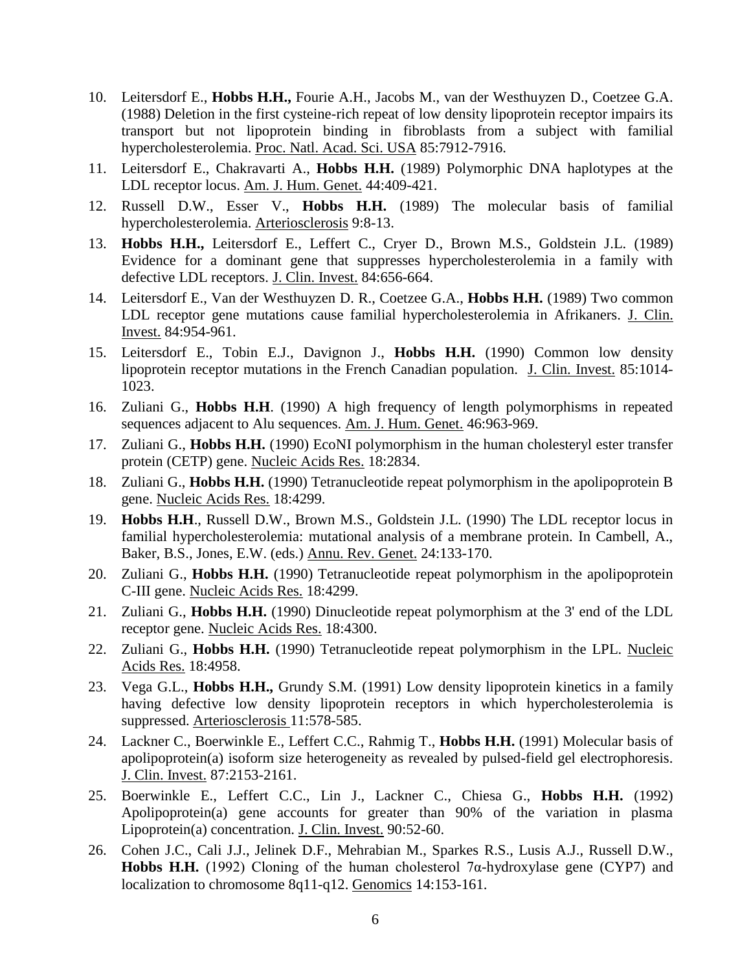- 10. Leitersdorf E., **Hobbs H.H.,** Fourie A.H., Jacobs M., van der Westhuyzen D., Coetzee G.A. (1988) Deletion in the first cysteine-rich repeat of low density lipoprotein receptor impairs its transport but not lipoprotein binding in fibroblasts from a subject with familial hypercholesterolemia. Proc. Natl. Acad. Sci. USA 85:7912-7916.
- 11. Leitersdorf E., Chakravarti A., **Hobbs H.H.** (1989) Polymorphic DNA haplotypes at the LDL receptor locus. Am. J. Hum. Genet. 44:409-421.
- 12. Russell D.W., Esser V., **Hobbs H.H.** (1989) The molecular basis of familial hypercholesterolemia. Arteriosclerosis 9:8-13.
- 13. **Hobbs H.H.,** Leitersdorf E., Leffert C., Cryer D., Brown M.S., Goldstein J.L. (1989) Evidence for a dominant gene that suppresses hypercholesterolemia in a family with defective LDL receptors. J. Clin. Invest. 84:656-664.
- 14. Leitersdorf E., Van der Westhuyzen D. R., Coetzee G.A., **Hobbs H.H.** (1989) Two common LDL receptor gene mutations cause familial hypercholesterolemia in Afrikaners. J. Clin. Invest. 84:954-961.
- 15. Leitersdorf E., Tobin E.J., Davignon J., **Hobbs H.H.** (1990) Common low density lipoprotein receptor mutations in the French Canadian population. J. Clin. Invest. 85:1014- 1023.
- 16. Zuliani G., **Hobbs H.H**. (1990) A high frequency of length polymorphisms in repeated sequences adjacent to Alu sequences. Am. J. Hum. Genet. 46:963-969.
- 17. Zuliani G., **Hobbs H.H.** (1990) EcoNI polymorphism in the human cholesteryl ester transfer protein (CETP) gene. Nucleic Acids Res. 18:2834.
- 18. Zuliani G., **Hobbs H.H.** (1990) Tetranucleotide repeat polymorphism in the apolipoprotein B gene. Nucleic Acids Res. 18:4299.
- 19. **Hobbs H.H**., Russell D.W., Brown M.S., Goldstein J.L. (1990) The LDL receptor locus in familial hypercholesterolemia: mutational analysis of a membrane protein. In Cambell, A., Baker, B.S., Jones, E.W. (eds.) Annu. Rev. Genet. 24:133-170.
- 20. Zuliani G., **Hobbs H.H.** (1990) Tetranucleotide repeat polymorphism in the apolipoprotein C-III gene. Nucleic Acids Res. 18:4299.
- 21. Zuliani G., **Hobbs H.H.** (1990) Dinucleotide repeat polymorphism at the 3' end of the LDL receptor gene. Nucleic Acids Res. 18:4300.
- 22. Zuliani G., **Hobbs H.H.** (1990) Tetranucleotide repeat polymorphism in the LPL. Nucleic Acids Res. 18:4958.
- 23. Vega G.L., **Hobbs H.H.,** Grundy S.M. (1991) Low density lipoprotein kinetics in a family having defective low density lipoprotein receptors in which hypercholesterolemia is suppressed. Arteriosclerosis 11:578-585.
- 24. Lackner C., Boerwinkle E., Leffert C.C., Rahmig T., **Hobbs H.H.** (1991) Molecular basis of apolipoprotein(a) isoform size heterogeneity as revealed by pulsed-field gel electrophoresis. J. Clin. Invest. 87:2153-2161.
- 25. Boerwinkle E., Leffert C.C., Lin J., Lackner C., Chiesa G., **Hobbs H.H.** (1992) Apolipoprotein(a) gene accounts for greater than 90% of the variation in plasma Lipoprotein(a) concentration. J. Clin. Invest. 90:52-60.
- 26. Cohen J.C., Cali J.J., Jelinek D.F., Mehrabian M., Sparkes R.S., Lusis A.J., Russell D.W., **Hobbs H.H.** (1992) Cloning of the human cholesterol  $7\alpha$ -hydroxylase gene (CYP7) and localization to chromosome 8q11-q12. Genomics 14:153-161.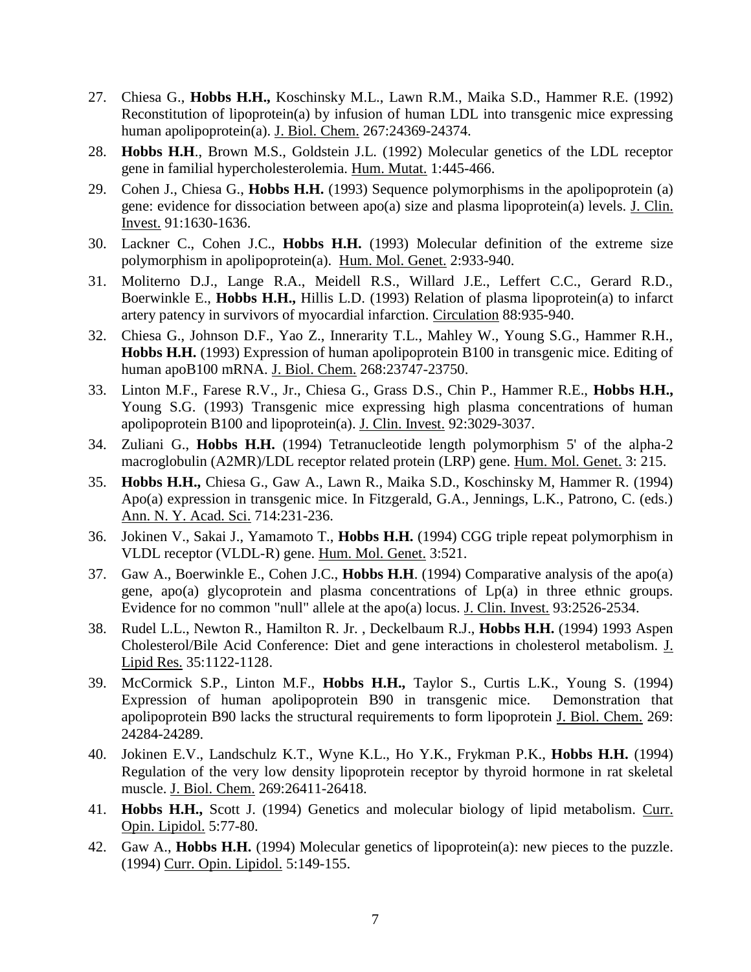- 27. Chiesa G., **Hobbs H.H.,** Koschinsky M.L., Lawn R.M., Maika S.D., Hammer R.E. (1992) Reconstitution of lipoprotein(a) by infusion of human LDL into transgenic mice expressing human apolipoprotein(a). J. Biol. Chem. 267:24369-24374.
- 28. **Hobbs H.H**., Brown M.S., Goldstein J.L. (1992) Molecular genetics of the LDL receptor gene in familial hypercholesterolemia. Hum. Mutat. 1:445-466.
- 29. Cohen J., Chiesa G., **Hobbs H.H.** (1993) Sequence polymorphisms in the apolipoprotein (a) gene: evidence for dissociation between apo(a) size and plasma lipoprotein(a) levels. J. Clin. Invest. 91:1630-1636.
- 30. Lackner C., Cohen J.C., **Hobbs H.H.** (1993) Molecular definition of the extreme size polymorphism in apolipoprotein(a). Hum. Mol. Genet. 2:933-940.
- 31. Moliterno D.J., Lange R.A., Meidell R.S., Willard J.E., Leffert C.C., Gerard R.D., Boerwinkle E., **Hobbs H.H.,** Hillis L.D. (1993) Relation of plasma lipoprotein(a) to infarct artery patency in survivors of myocardial infarction. Circulation 88:935-940.
- 32. Chiesa G., Johnson D.F., Yao Z., Innerarity T.L., Mahley W., Young S.G., Hammer R.H., **Hobbs H.H.** (1993) Expression of human apolipoprotein B100 in transgenic mice. Editing of human apoB100 mRNA. J. Biol. Chem. 268:23747-23750.
- 33. Linton M.F., Farese R.V., Jr., Chiesa G., Grass D.S., Chin P., Hammer R.E., **Hobbs H.H.,** Young S.G. (1993) Transgenic mice expressing high plasma concentrations of human apolipoprotein B100 and lipoprotein(a). J. Clin. Invest. 92:3029-3037.
- 34. Zuliani G., **Hobbs H.H.** (1994) Tetranucleotide length polymorphism 5' of the alpha-2 macroglobulin (A2MR)/LDL receptor related protein (LRP) gene. Hum. Mol. Genet. 3: 215.
- 35. **Hobbs H.H.,** Chiesa G., Gaw A., Lawn R., Maika S.D., Koschinsky M, Hammer R. (1994) Apo(a) expression in transgenic mice. In Fitzgerald, G.A., Jennings, L.K., Patrono, C. (eds.) Ann. N. Y. Acad. Sci. 714:231-236.
- 36. Jokinen V., Sakai J., Yamamoto T., **Hobbs H.H.** (1994) CGG triple repeat polymorphism in VLDL receptor (VLDL-R) gene. Hum. Mol. Genet. 3:521.
- 37. Gaw A., Boerwinkle E., Cohen J.C., **Hobbs H.H**. (1994) Comparative analysis of the apo(a) gene, apo(a) glycoprotein and plasma concentrations of Lp(a) in three ethnic groups. Evidence for no common "null" allele at the apo(a) locus. J. Clin. Invest. 93:2526-2534.
- 38. Rudel L.L., Newton R., Hamilton R. Jr. , Deckelbaum R.J., **Hobbs H.H.** (1994) 1993 Aspen Cholesterol/Bile Acid Conference: Diet and gene interactions in cholesterol metabolism. J. Lipid Res. 35:1122-1128.
- 39. McCormick S.P., Linton M.F., **Hobbs H.H.,** Taylor S., Curtis L.K., Young S. (1994) Expression of human apolipoprotein B90 in transgenic mice. Demonstration that apolipoprotein B90 lacks the structural requirements to form lipoprotein J. Biol. Chem. 269: 24284-24289.
- 40. Jokinen E.V., Landschulz K.T., Wyne K.L., Ho Y.K., Frykman P.K., **Hobbs H.H.** (1994) Regulation of the very low density lipoprotein receptor by thyroid hormone in rat skeletal muscle. J. Biol. Chem. 269:26411-26418.
- 41. **Hobbs H.H.,** Scott J. (1994) Genetics and molecular biology of lipid metabolism. Curr. Opin. Lipidol. 5:77-80.
- 42. Gaw A., **Hobbs H.H.** (1994) Molecular genetics of lipoprotein(a): new pieces to the puzzle. (1994) Curr. Opin. Lipidol. 5:149-155.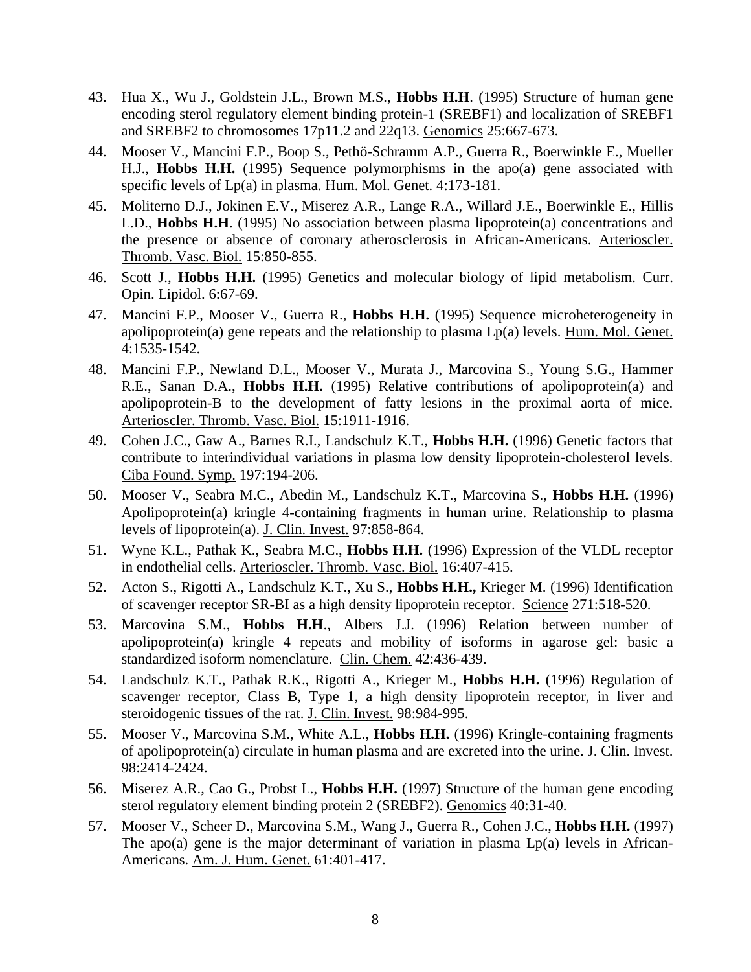- 43. Hua X., Wu J., Goldstein J.L., Brown M.S., **Hobbs H.H**. (1995) Structure of human gene encoding sterol regulatory element binding protein-1 (SREBF1) and localization of SREBF1 and SREBF2 to chromosomes 17p11.2 and 22q13. Genomics 25:667-673.
- 44. Mooser V., Mancini F.P., Boop S., Pethö-Schramm A.P., Guerra R., Boerwinkle E., Mueller H.J., **Hobbs H.H.** (1995) Sequence polymorphisms in the apo(a) gene associated with specific levels of Lp(a) in plasma. Hum. Mol. Genet. 4:173-181.
- 45. Moliterno D.J., Jokinen E.V., Miserez A.R., Lange R.A., Willard J.E., Boerwinkle E., Hillis L.D., **Hobbs H.H**. (1995) No association between plasma lipoprotein(a) concentrations and the presence or absence of coronary atherosclerosis in African-Americans. Arterioscler. Thromb. Vasc. Biol. 15:850-855.
- 46. Scott J., **Hobbs H.H.** (1995) Genetics and molecular biology of lipid metabolism. Curr. Opin. Lipidol. 6:67-69.
- 47. Mancini F.P., Mooser V., Guerra R., **Hobbs H.H.** (1995) Sequence microheterogeneity in apolipoprotein(a) gene repeats and the relationship to plasma Lp(a) levels. Hum. Mol. Genet. 4:1535-1542.
- 48. Mancini F.P., Newland D.L., Mooser V., Murata J., Marcovina S., Young S.G., Hammer R.E., Sanan D.A., **Hobbs H.H.** (1995) Relative contributions of apolipoprotein(a) and apolipoprotein-B to the development of fatty lesions in the proximal aorta of mice. Arterioscler. Thromb. Vasc. Biol. 15:1911-1916.
- 49. Cohen J.C., Gaw A., Barnes R.I., Landschulz K.T., **Hobbs H.H.** (1996) Genetic factors that contribute to interindividual variations in plasma low density lipoprotein-cholesterol levels. Ciba Found. Symp. 197:194-206.
- 50. Mooser V., Seabra M.C., Abedin M., Landschulz K.T., Marcovina S., **Hobbs H.H.** (1996) Apolipoprotein(a) kringle 4-containing fragments in human urine. Relationship to plasma levels of lipoprotein(a). J. Clin. Invest. 97:858-864.
- 51. Wyne K.L., Pathak K., Seabra M.C., **Hobbs H.H.** (1996) Expression of the VLDL receptor in endothelial cells. Arterioscler. Thromb. Vasc. Biol. 16:407-415.
- 52. Acton S., Rigotti A., Landschulz K.T., Xu S., **Hobbs H.H.,** Krieger M. (1996) Identification of scavenger receptor SR-BI as a high density lipoprotein receptor. Science 271:518-520.
- 53. Marcovina S.M., **Hobbs H.H**., Albers J.J. (1996) Relation between number of apolipoprotein(a) kringle 4 repeats and mobility of isoforms in agarose gel: basic a standardized isoform nomenclature. Clin. Chem. 42:436-439.
- 54. Landschulz K.T., Pathak R.K., Rigotti A., Krieger M., **Hobbs H.H.** (1996) Regulation of scavenger receptor, Class B, Type 1, a high density lipoprotein receptor, in liver and steroidogenic tissues of the rat. J. Clin. Invest. 98:984-995.
- 55. Mooser V., Marcovina S.M., White A.L., **Hobbs H.H.** (1996) Kringle-containing fragments of apolipoprotein(a) circulate in human plasma and are excreted into the urine. J. Clin. Invest. 98:2414-2424.
- 56. Miserez A.R., Cao G., Probst L., **Hobbs H.H.** (1997) Structure of the human gene encoding sterol regulatory element binding protein 2 (SREBF2). Genomics 40:31-40.
- 57. Mooser V., Scheer D., Marcovina S.M., Wang J., Guerra R., Cohen J.C., **Hobbs H.H.** (1997) The apo(a) gene is the major determinant of variation in plasma  $Lp(a)$  levels in African-Americans. Am. J. Hum. Genet. 61:401-417.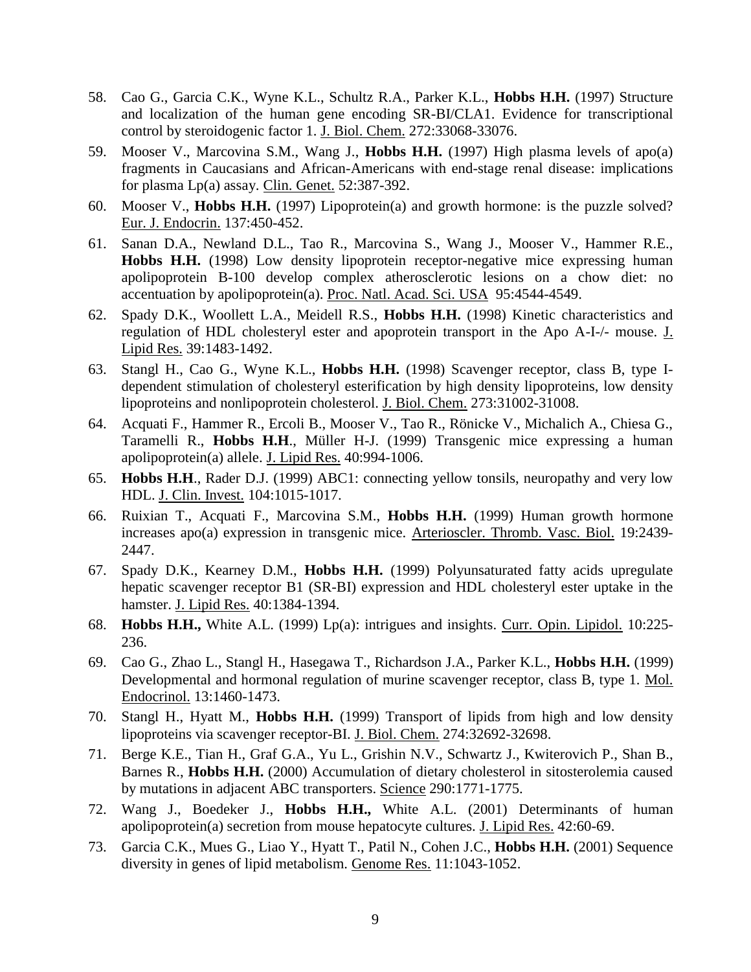- 58. Cao G., Garcia C.K., Wyne K.L., Schultz R.A., Parker K.L., **Hobbs H.H.** (1997) Structure and localization of the human gene encoding SR-BI/CLA1. Evidence for transcriptional control by steroidogenic factor 1. J. Biol. Chem. 272:33068-33076.
- 59. Mooser V., Marcovina S.M., Wang J., **Hobbs H.H.** (1997) High plasma levels of apo(a) fragments in Caucasians and African-Americans with end-stage renal disease: implications for plasma Lp(a) assay. Clin. Genet. 52:387-392.
- 60. Mooser V., **Hobbs H.H.** (1997) Lipoprotein(a) and growth hormone: is the puzzle solved? Eur. J. Endocrin. 137:450-452.
- 61. Sanan D.A., Newland D.L., Tao R., Marcovina S., Wang J., Mooser V., Hammer R.E., **Hobbs H.H.** (1998) Low density lipoprotein receptor-negative mice expressing human apolipoprotein B-100 develop complex atherosclerotic lesions on a chow diet: no accentuation by apolipoprotein(a). Proc. Natl. Acad. Sci. USA 95:4544-4549.
- 62. Spady D.K., Woollett L.A., Meidell R.S., **Hobbs H.H.** (1998) Kinetic characteristics and regulation of HDL cholesteryl ester and apoprotein transport in the Apo A-I-/- mouse. J. Lipid Res. 39:1483-1492.
- 63. Stangl H., Cao G., Wyne K.L., **Hobbs H.H.** (1998) Scavenger receptor, class B, type Idependent stimulation of cholesteryl esterification by high density lipoproteins, low density lipoproteins and nonlipoprotein cholesterol. J. Biol. Chem. 273:31002-31008.
- 64. Acquati F., Hammer R., Ercoli B., Mooser V., Tao R., Rönicke V., Michalich A., Chiesa G., Taramelli R., **Hobbs H.H**., Müller H-J. (1999) Transgenic mice expressing a human apolipoprotein(a) allele. J. Lipid Res. 40:994-1006.
- 65. **Hobbs H.H**., Rader D.J. (1999) ABC1: connecting yellow tonsils, neuropathy and very low HDL. J. Clin. Invest. 104:1015-1017.
- 66. Ruixian T., Acquati F., Marcovina S.M., **Hobbs H.H.** (1999) Human growth hormone increases apo(a) expression in transgenic mice. Arterioscler. Thromb. Vasc. Biol. 19:2439- 2447.
- 67. Spady D.K., Kearney D.M., **Hobbs H.H.** (1999) Polyunsaturated fatty acids upregulate hepatic scavenger receptor B1 (SR-BI) expression and HDL cholesteryl ester uptake in the hamster. J. Lipid Res. 40:1384-1394.
- 68. **Hobbs H.H.,** White A.L. (1999) Lp(a): intrigues and insights. Curr. Opin. Lipidol. 10:225- 236.
- 69. Cao G., Zhao L., Stangl H., Hasegawa T., Richardson J.A., Parker K.L., **Hobbs H.H.** (1999) Developmental and hormonal regulation of murine scavenger receptor, class B, type 1. Mol. Endocrinol. 13:1460-1473.
- 70. Stangl H., Hyatt M., **Hobbs H.H.** (1999) Transport of lipids from high and low density lipoproteins via scavenger receptor-BI. J. Biol. Chem. 274:32692-32698.
- 71. Berge K.E., Tian H., Graf G.A., Yu L., Grishin N.V., Schwartz J., Kwiterovich P., Shan B., Barnes R., **Hobbs H.H.** (2000) Accumulation of dietary cholesterol in sitosterolemia caused by mutations in adjacent ABC transporters. Science 290:1771-1775.
- 72. Wang J., Boedeker J., **Hobbs H.H.,** White A.L. (2001) Determinants of human apolipoprotein(a) secretion from mouse hepatocyte cultures. J. Lipid Res. 42:60-69.
- 73. Garcia C.K., Mues G., Liao Y., Hyatt T., Patil N., Cohen J.C., **Hobbs H.H.** (2001) Sequence diversity in genes of lipid metabolism. Genome Res. 11:1043-1052.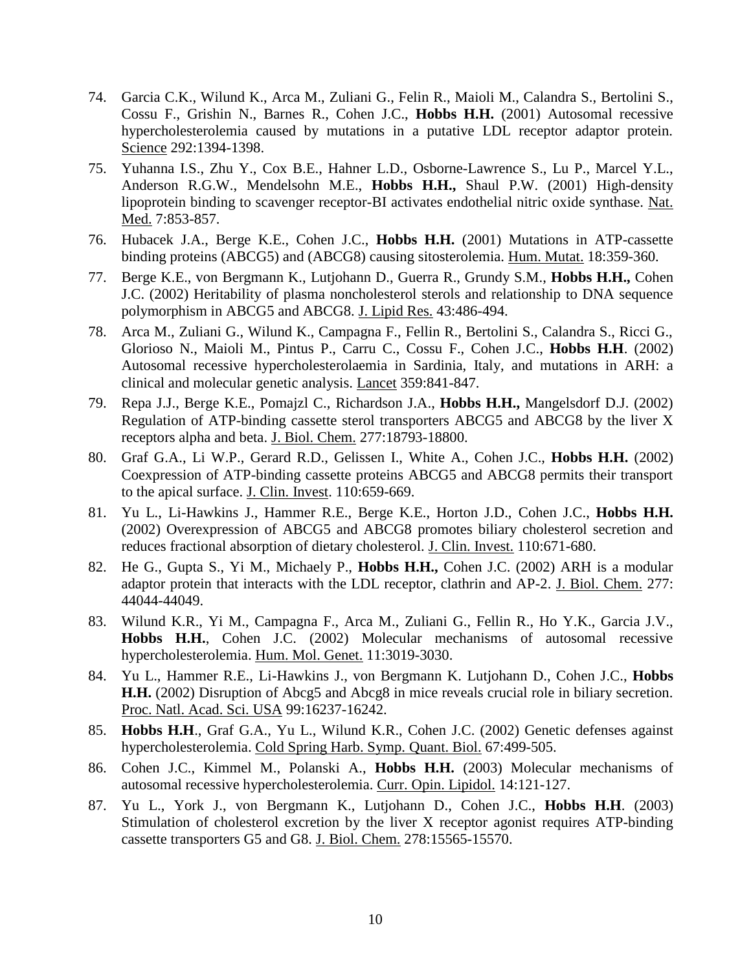- 74. Garcia C.K., Wilund K., Arca M., Zuliani G., Felin R., Maioli M., Calandra S., Bertolini S., Cossu F., Grishin N., Barnes R., Cohen J.C., **Hobbs H.H.** (2001) Autosomal recessive hypercholesterolemia caused by mutations in a putative LDL receptor adaptor protein. Science 292:1394-1398.
- 75. Yuhanna I.S., Zhu Y., Cox B.E., Hahner L.D., Osborne-Lawrence S., Lu P., Marcel Y.L., Anderson R.G.W., Mendelsohn M.E., **Hobbs H.H.,** Shaul P.W. (2001) High-density lipoprotein binding to scavenger receptor-BI activates endothelial nitric oxide synthase. Nat. Med. 7:853-857.
- 76. Hubacek J.A., Berge K.E., Cohen J.C., **Hobbs H.H.** (2001) Mutations in ATP-cassette binding proteins (ABCG5) and (ABCG8) causing sitosterolemia. Hum. Mutat. 18:359-360.
- 77. Berge K.E., von Bergmann K., Lutjohann D., Guerra R., Grundy S.M., **Hobbs H.H.,** Cohen J.C. (2002) Heritability of plasma noncholesterol sterols and relationship to DNA sequence polymorphism in ABCG5 and ABCG8. J. Lipid Res. 43:486-494.
- 78. Arca M., Zuliani G., Wilund K., Campagna F., Fellin R., Bertolini S., Calandra S., Ricci G., Glorioso N., Maioli M., Pintus P., Carru C., Cossu F., Cohen J.C., **Hobbs H.H**. (2002) Autosomal recessive hypercholesterolaemia in Sardinia, Italy, and mutations in ARH: a clinical and molecular genetic analysis. Lancet 359:841-847.
- 79. Repa J.J., Berge K.E., Pomajzl C., Richardson J.A., **Hobbs H.H.,** Mangelsdorf D.J. (2002) Regulation of ATP-binding cassette sterol transporters ABCG5 and ABCG8 by the liver X receptors alpha and beta. J. Biol. Chem. 277:18793-18800.
- 80. Graf G.A., Li W.P., Gerard R.D., Gelissen I., White A., Cohen J.C., **Hobbs H.H.** (2002) Coexpression of ATP-binding cassette proteins ABCG5 and ABCG8 permits their transport to the apical surface. J. Clin. Invest. 110:659-669.
- 81. Yu L., Li-Hawkins J., Hammer R.E., Berge K.E., Horton J.D., Cohen J.C., **Hobbs H.H.**  (2002) Overexpression of ABCG5 and ABCG8 promotes biliary cholesterol secretion and reduces fractional absorption of dietary cholesterol. J. Clin. Invest. 110:671-680.
- 82. He G., Gupta S., Yi M., Michaely P., **Hobbs H.H.,** Cohen J.C. (2002) ARH is a modular adaptor protein that interacts with the LDL receptor, clathrin and AP-2. J. Biol. Chem. 277: 44044-44049.
- 83. Wilund K.R., Yi M., Campagna F., Arca M., Zuliani G., Fellin R., Ho Y.K., Garcia J.V., **Hobbs H.H.**, Cohen J.C. (2002) Molecular mechanisms of autosomal recessive hypercholesterolemia. Hum. Mol. Genet. 11:3019-3030.
- 84. Yu L., Hammer R.E., Li-Hawkins J., von Bergmann K. Lutjohann D., Cohen J.C., **Hobbs H.H.** (2002) Disruption of Abcg5 and Abcg8 in mice reveals crucial role in biliary secretion. Proc. Natl. Acad. Sci. USA 99:16237-16242.
- 85. **Hobbs H.H**., Graf G.A., Yu L., Wilund K.R., Cohen J.C. (2002) Genetic defenses against hypercholesterolemia. Cold Spring Harb. Symp. Quant. Biol. 67:499-505.
- 86. Cohen J.C., Kimmel M., Polanski A., **Hobbs H.H.** (2003) Molecular mechanisms of autosomal recessive hypercholesterolemia. Curr. Opin. Lipidol. 14:121-127.
- 87. Yu L., York J., von Bergmann K., Lutjohann D., Cohen J.C., **Hobbs H.H**. (2003) Stimulation of cholesterol excretion by the liver X receptor agonist requires ATP-binding cassette transporters G5 and G8. J. Biol. Chem. 278:15565-15570.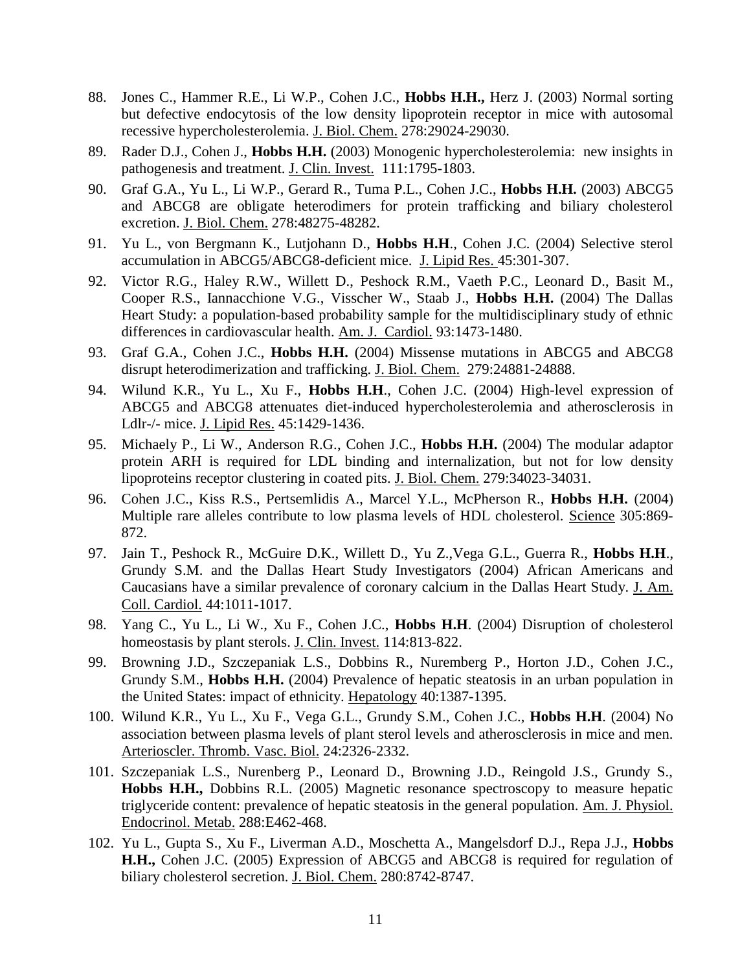- 88. Jones C., Hammer R.E., Li W.P., Cohen J.C., **Hobbs H.H.,** Herz J. (2003) Normal sorting but defective endocytosis of the low density lipoprotein receptor in mice with autosomal recessive hypercholesterolemia. J. Biol. Chem. 278:29024-29030.
- 89. Rader D.J., Cohen J., **Hobbs H.H.** (2003) Monogenic hypercholesterolemia: new insights in pathogenesis and treatment. J. Clin. Invest. 111:1795-1803.
- 90. Graf G.A., Yu L., Li W.P., Gerard R., Tuma P.L., Cohen J.C., **Hobbs H.H.** (2003) ABCG5 and ABCG8 are obligate heterodimers for protein trafficking and biliary cholesterol excretion. J. Biol. Chem. 278:48275-48282.
- 91. Yu L., von Bergmann K., Lutjohann D., **Hobbs H.H**., Cohen J.C. (2004) Selective sterol accumulation in ABCG5/ABCG8-deficient mice. J. Lipid Res. 45:301-307.
- 92. Victor R.G., Haley R.W., Willett D., Peshock R.M., Vaeth P.C., Leonard D., Basit M., Cooper R.S., Iannacchione V.G., Visscher W., Staab J., **Hobbs H.H.** (2004) The Dallas Heart Study: a population-based probability sample for the multidisciplinary study of ethnic differences in cardiovascular health. Am. J. Cardiol. 93:1473-1480.
- 93. Graf G.A., Cohen J.C., **Hobbs H.H.** (2004) Missense mutations in ABCG5 and ABCG8 disrupt heterodimerization and trafficking. J. Biol. Chem. 279:24881-24888.
- 94. Wilund K.R., Yu L., Xu F., **Hobbs H.H**., Cohen J.C. (2004) High-level expression of ABCG5 and ABCG8 attenuates diet-induced hypercholesterolemia and atherosclerosis in Ldlr-/- mice. J. Lipid Res. 45:1429-1436.
- 95. Michaely P., Li W., Anderson R.G., Cohen J.C., **Hobbs H.H.** (2004) The modular adaptor protein ARH is required for LDL binding and internalization, but not for low density lipoproteins receptor clustering in coated pits. J. Biol. Chem. 279:34023-34031.
- 96. Cohen J.C., Kiss R.S., Pertsemlidis A., Marcel Y.L., McPherson R., **Hobbs H.H.** (2004) Multiple rare alleles contribute to low plasma levels of HDL cholesterol. Science 305:869- 872.
- 97. Jain T., Peshock R., McGuire D.K., Willett D., Yu Z.,Vega G.L., Guerra R., **Hobbs H.H**., Grundy S.M. and the Dallas Heart Study Investigators (2004) African Americans and Caucasians have a similar prevalence of coronary calcium in the Dallas Heart Study. J. Am. Coll. Cardiol. 44:1011-1017.
- 98. Yang C., Yu L., Li W., Xu F., Cohen J.C., **Hobbs H.H**. (2004) Disruption of cholesterol homeostasis by plant sterols. J. Clin. Invest. 114:813-822.
- 99. Browning J.D., Szczepaniak L.S., Dobbins R., Nuremberg P., Horton J.D., Cohen J.C., Grundy S.M., **Hobbs H.H.** (2004) Prevalence of hepatic steatosis in an urban population in the United States: impact of ethnicity. Hepatology 40:1387-1395.
- 100. Wilund K.R., Yu L., Xu F., Vega G.L., Grundy S.M., Cohen J.C., **Hobbs H.H**. (2004) No association between plasma levels of plant sterol levels and atherosclerosis in mice and men. Arterioscler. Thromb. Vasc. Biol. 24:2326-2332.
- 101. Szczepaniak L.S., Nurenberg P., Leonard D., Browning J.D., Reingold J.S., Grundy S., **Hobbs H.H.,** Dobbins R.L. (2005) Magnetic resonance spectroscopy to measure hepatic triglyceride content: prevalence of hepatic steatosis in the general population. Am. J. Physiol. Endocrinol. Metab. 288:E462-468.
- 102. Yu L., Gupta S., Xu F., Liverman A.D., Moschetta A., Mangelsdorf D.J., Repa J.J., **Hobbs H.H.,** Cohen J.C. (2005) Expression of ABCG5 and ABCG8 is required for regulation of biliary cholesterol secretion. J. Biol. Chem. 280:8742-8747.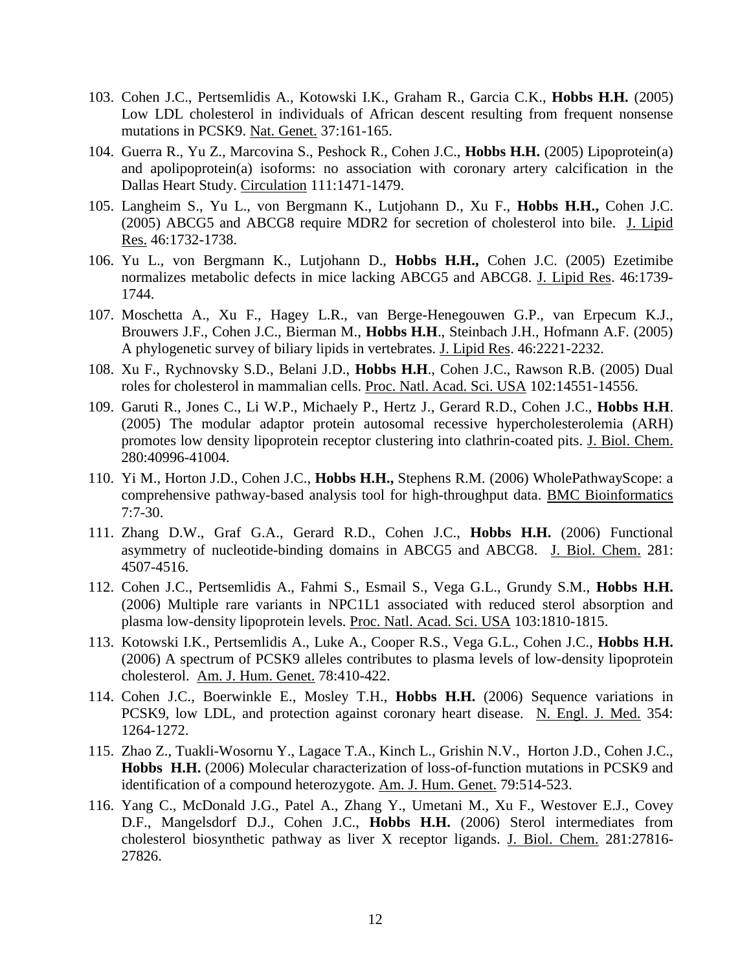- 103. Cohen J.C., Pertsemlidis A., Kotowski I.K., Graham R., Garcia C.K., **Hobbs H.H.** (2005) Low LDL cholesterol in individuals of African descent resulting from frequent nonsense mutations in PCSK9. Nat. Genet. 37:161-165.
- 104. Guerra R., Yu Z., Marcovina S., Peshock R., Cohen J.C., **Hobbs H.H.** (2005) Lipoprotein(a) and apolipoprotein(a) isoforms: no association with coronary artery calcification in the Dallas Heart Study. Circulation 111:1471-1479.
- 105. Langheim S., Yu L., von Bergmann K., Lutjohann D., Xu F., **Hobbs H.H.,** Cohen J.C. (2005) ABCG5 and ABCG8 require MDR2 for secretion of cholesterol into bile. J. Lipid Res. 46:1732-1738.
- 106. Yu L., von Bergmann K., Lutjohann D., **Hobbs H.H.,** Cohen J.C. (2005) Ezetimibe normalizes metabolic defects in mice lacking ABCG5 and ABCG8. J. Lipid Res. 46:1739- 1744.
- 107. [Moschetta A., Xu F., Hagey L.R., van Berge-Henegouwen G.P., van Erpecum K.J.,](http://www.ncbi.nlm.nih.gov/entrez/query.fcgi?cmd=Retrieve&db=pubmed&dopt=Abstract&list_uids=16061950&query_hl=7)  [Brouwers J.F., Cohen J.C., Bierman M.,](http://www.ncbi.nlm.nih.gov/entrez/query.fcgi?cmd=Retrieve&db=pubmed&dopt=Abstract&list_uids=16061950&query_hl=7) **Hobbs H.H**., Steinbach J.H., Hofmann A.F. (2005) A phylogenetic survey of biliary lipids in vertebrates. J. Lipid Res. 46:2221-2232.
- 108. Xu F., Rychnovsky S.D., Belani J.D., **Hobbs H.H**., Cohen J.C., Rawson R.B. (2005) Dual roles for cholesterol in mammalian cells. Proc. Natl. Acad. Sci. USA 102:14551-14556.
- 109. Garuti R., Jones C., Li W.P., Michaely P., Hertz J., Gerard R.D., Cohen J.C., **Hobbs H.H**. (2005) The modular adaptor protein autosomal recessive hypercholesterolemia (ARH) promotes low density lipoprotein receptor clustering into clathrin-coated pits. J. Biol. Chem. 280:40996-41004.
- 110. Yi M., Horton J.D., Cohen J.C., **Hobbs H.H.,** Stephens R.M. (2006) WholePathwayScope: a comprehensive pathway-based analysis tool for high-throughput data. BMC Bioinformatics 7:7-30.
- 111. Zhang D.W., Graf G.A., Gerard R.D., Cohen J.C., **Hobbs H.H.** (2006) Functional asymmetry of nucleotide-binding domains in ABCG5 and ABCG8. J. Biol. Chem. 281: 4507-4516.
- 112. Cohen J.C., Pertsemlidis A., Fahmi S., Esmail S., Vega G.L., Grundy S.M., **Hobbs H.H.** (2006) Multiple rare variants in NPC1L1 associated with reduced sterol absorption and plasma low-density lipoprotein levels. Proc. Natl. Acad. Sci. USA 103:1810-1815.
- 113. Kotowski I.K., Pertsemlidis A., Luke A., Cooper R.S., Vega G.L., Cohen J.C., **Hobbs H.H.** (2006) A spectrum of PCSK9 alleles contributes to plasma levels of low-density lipoprotein cholesterol. Am. J. Hum. Genet. 78:410-422.
- 114. Cohen J.C., Boerwinkle E., Mosley T.H., **Hobbs H.H.** (2006) Sequence variations in PCSK9, low LDL, and protection against coronary heart disease. N. Engl. J. Med. 354: 1264-1272.
- 115. Zhao Z., Tuakli-Wosornu Y., Lagace T.A., Kinch L., Grishin N.V., Horton J.D., Cohen J.C., **Hobbs H.H.** (2006) Molecular characterization of loss-of-function mutations in PCSK9 and identification of a compound heterozygote. Am. J. Hum. Genet. 79:514-523.
- 116. Yang C., McDonald J.G., Patel A., Zhang Y., Umetani M., Xu F., Westover E.J., Covey D.F., Mangelsdorf D.J., Cohen J.C., **Hobbs H.H.** (2006) Sterol intermediates from cholesterol biosynthetic pathway as liver X receptor ligands. J. Biol. Chem. 281:27816- 27826.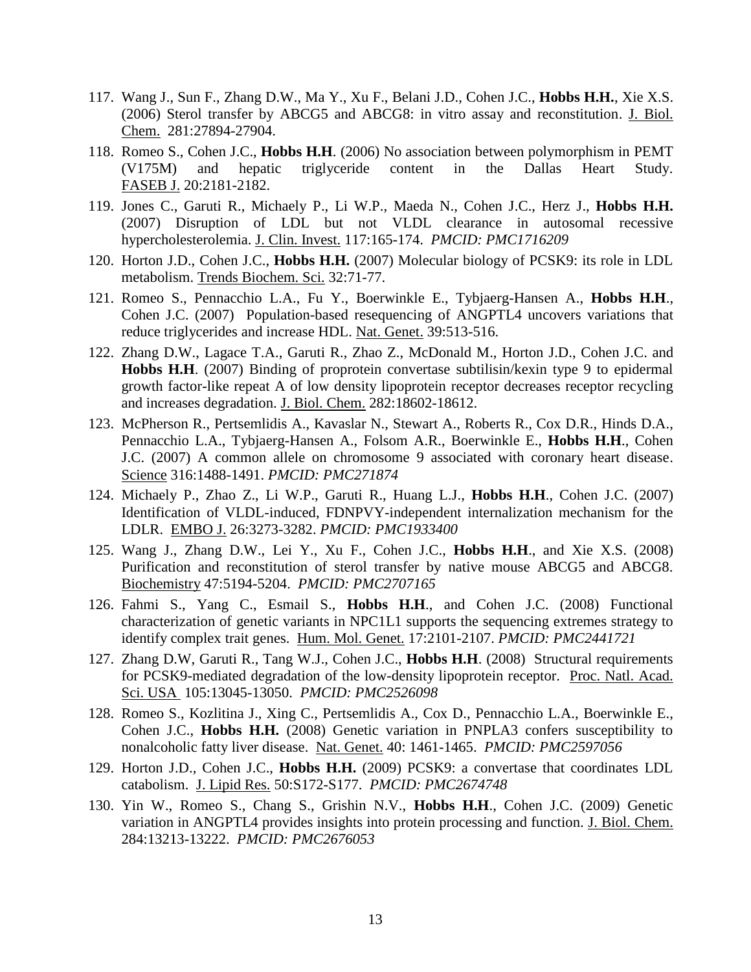- 117. Wang J., Sun F., Zhang D.W., Ma Y., Xu F., Belani J.D., Cohen J.C., **Hobbs H.H.**, Xie X.S. (2006) Sterol transfer by ABCG5 and ABCG8: in vitro assay and reconstitution. J. Biol. Chem. 281:27894-27904.
- 118. Romeo S., Cohen J.C., **Hobbs H.H**. (2006) No association between polymorphism in PEMT (V175M) and hepatic triglyceride content in the Dallas Heart Study. FASEB J. 20:2181-2182.
- 119. Jones C., Garuti R., Michaely P., Li W.P., Maeda N., Cohen J.C., Herz J., **Hobbs H.H.** (2007) Disruption of LDL but not VLDL clearance in autosomal recessive hypercholesterolemia. J. Clin. Invest. 117:165-174. *PMCID: PMC1716209*
- 120. Horton J.D., Cohen J.C., **Hobbs H.H.** (2007) Molecular biology of PCSK9: its role in LDL metabolism. Trends Biochem. Sci. 32:71-77.
- 121. Romeo S., Pennacchio L.A., Fu Y., Boerwinkle E., Tybjaerg-Hansen A., **Hobbs H.H**., Cohen J.C. (2007) Population-based resequencing of ANGPTL4 uncovers variations that reduce triglycerides and increase HDL. Nat. Genet. 39:513-516.
- 122. Zhang D.W., Lagace T.A., Garuti R., Zhao Z., McDonald M., Horton J.D., Cohen J.C. and **Hobbs H.H**. (2007) Binding of proprotein convertase subtilisin/kexin type 9 to epidermal growth factor-like repeat A of low density lipoprotein receptor decreases receptor recycling and increases degradation. J. Biol. Chem. 282:18602-18612.
- 123. McPherson R., Pertsemlidis A., Kavaslar N., Stewart A., Roberts R., Cox D.R., Hinds D.A., Pennacchio L.A., Tybjaerg-Hansen A., Folsom A.R., Boerwinkle E., **Hobbs H.H**., Cohen J.C. (2007) A common allele on chromosome 9 associated with coronary heart disease. Science 316:1488-1491. *PMCID: PMC271874*
- 124. Michaely P., Zhao Z., Li W.P., Garuti R., Huang L.J., **Hobbs H.H**., Cohen J.C. (2007) Identification of VLDL-induced, FDNPVY-independent internalization mechanism for the LDLR. EMBO J. 26:3273-3282. *PMCID: PMC1933400*
- 125. Wang J., Zhang D.W., Lei Y., Xu F., Cohen J.C., **Hobbs H.H**., and Xie X.S. (2008) Purification and reconstitution of sterol transfer by native mouse ABCG5 and ABCG8. Biochemistry 47:5194-5204. *PMCID: PMC2707165*
- 126. Fahmi S., Yang C., Esmail S., **Hobbs H.H**., and Cohen J.C. (2008) Functional characterization of genetic variants in NPC1L1 supports the sequencing extremes strategy to identify complex trait genes. Hum. Mol. Genet. 17:2101-2107. *PMCID: PMC2441721*
- 127. Zhang D.W, Garuti R., Tang W.J., Cohen J.C., **Hobbs H.H**. (2008) Structural requirements for PCSK9-mediated degradation of the low-density lipoprotein receptor. Proc. Natl. Acad. Sci. USA 105:13045-13050. *PMCID: PMC2526098*
- 128. Romeo S., Kozlitina J., Xing C., Pertsemlidis A., Cox D., Pennacchio L.A., Boerwinkle E., Cohen J.C., **Hobbs H.H.** (2008) Genetic variation in PNPLA3 confers susceptibility to nonalcoholic fatty liver disease. Nat. Genet. 40: 1461-1465. *PMCID: PMC2597056*
- 129. Horton J.D., Cohen J.C., **Hobbs H.H.** (2009) PCSK9: a convertase that coordinates LDL catabolism. J. Lipid Res. 50:S172-S177. *PMCID: PMC2674748*
- 130. Yin W., Romeo S., Chang S., Grishin N.V., **Hobbs H.H**., Cohen J.C. (2009) Genetic variation in ANGPTL4 provides insights into protein processing and function. J. Biol. Chem. 284:13213-13222. *PMCID: PMC2676053*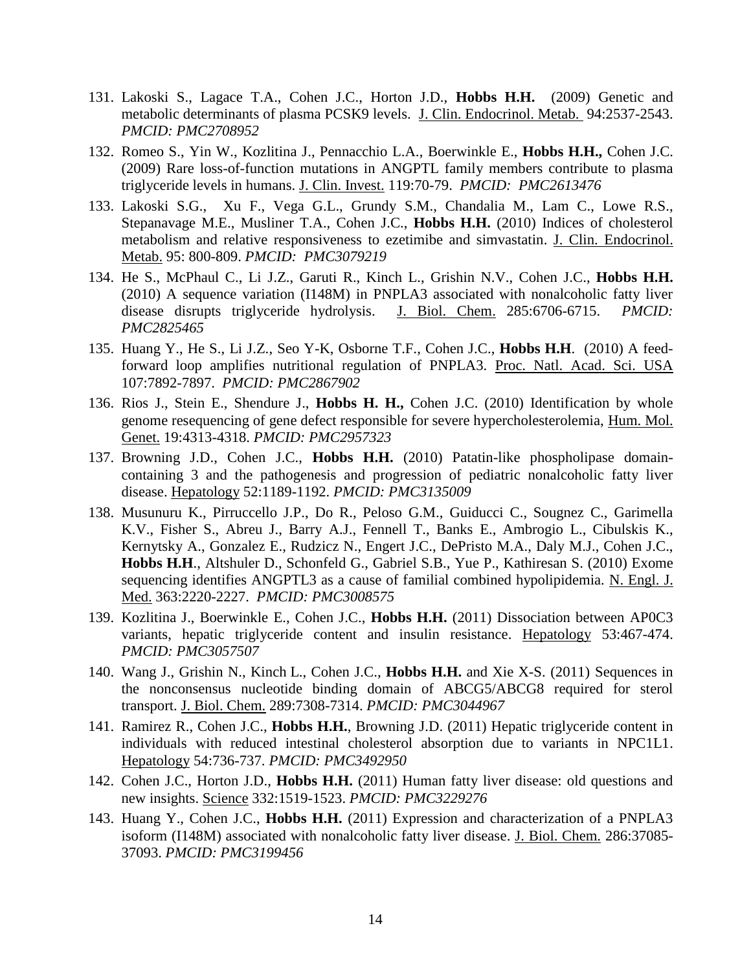- 131. Lakoski S., Lagace T.A., Cohen J.C., Horton J.D., **Hobbs H.H.** (2009) Genetic and metabolic determinants of plasma PCSK9 levels. J. Clin. Endocrinol. Metab. 94:2537-2543. *PMCID: PMC2708952*
- 132. Romeo S., Yin W., Kozlitina J., Pennacchio L.A., Boerwinkle E., **Hobbs H.H.,** Cohen J.C. (2009) Rare loss-of-function mutations in ANGPTL family members contribute to plasma triglyceride levels in humans. J. Clin. Invest. 119:70-79. *PMCID: PMC2613476*
- 133. Lakoski S.G., Xu F., Vega G.L., Grundy S.M., Chandalia M., Lam C., Lowe R.S., Stepanavage M.E., Musliner T.A., Cohen J.C., **Hobbs H.H.** (2010) Indices of cholesterol metabolism and relative responsiveness to ezetimibe and simvastatin. J. Clin. Endocrinol. Metab. 95: 800-809. *PMCID: PMC3079219*
- 134. He S., McPhaul C., Li J.Z., Garuti R., Kinch L., Grishin N.V., Cohen J.C., **Hobbs H.H.** (2010) A sequence variation (I148M) in PNPLA3 associated with nonalcoholic fatty liver disease disrupts triglyceride hydrolysis. J. Biol. Chem. 285:6706-6715. *PMCID: PMC2825465*
- 135. Huang Y., He S., Li J.Z., Seo Y-K, Osborne T.F., Cohen J.C., **Hobbs H.H**. (2010) A feedforward loop amplifies nutritional regulation of PNPLA3. Proc. Natl. Acad. Sci. USA 107:7892-7897. *PMCID: PMC2867902*
- 136. Rios J., Stein E., Shendure J., **Hobbs H. H.,** Cohen J.C. (2010) Identification by whole genome resequencing of gene defect responsible for severe hypercholesterolemia, Hum. Mol. Genet. 19:4313-4318. *PMCID: PMC2957323*
- 137. Browning J.D., Cohen J.C., **Hobbs H.H.** (2010) Patatin-like phospholipase domaincontaining 3 and the pathogenesis and progression of pediatric nonalcoholic fatty liver disease. Hepatology 52:1189-1192. *PMCID: PMC3135009*
- 138. Musunuru K., Pirruccello J.P., Do R., Peloso G.M., Guiducci C., Sougnez C., Garimella K.V., Fisher S., Abreu J., Barry A.J., Fennell T., Banks E., Ambrogio L., Cibulskis K., Kernytsky A., Gonzalez E., Rudzicz N., Engert J.C., DePristo M.A., Daly M.J., Cohen J.C., **Hobbs H.H**., Altshuler D., Schonfeld G., Gabriel S.B., Yue P., Kathiresan S. (2010) Exome sequencing identifies ANGPTL3 as a cause of familial combined hypolipidemia. N. Engl. J. Med. 363:2220-2227. *PMCID: PMC3008575*
- 139. Kozlitina J., Boerwinkle E., Cohen J.C., **Hobbs H.H.** (2011) Dissociation between AP0C3 variants, hepatic triglyceride content and insulin resistance. Hepatology 53:467-474. *PMCID: PMC3057507*
- 140. Wang J., Grishin N., Kinch L., Cohen J.C., **Hobbs H.H.** and Xie X-S. (2011) Sequences in the nonconsensus nucleotide binding domain of ABCG5/ABCG8 required for sterol transport. J. Biol. Chem. 289:7308-7314. *PMCID: PMC3044967*
- 141. Ramirez R., Cohen J.C., **Hobbs H.H.**, Browning J.D. (2011) Hepatic triglyceride content in individuals with reduced intestinal cholesterol absorption due to variants in NPC1L1. Hepatology 54:736-737. *PMCID: PMC3492950*
- 142. Cohen J.C., Horton J.D., **Hobbs H.H.** (2011) Human fatty liver disease: old questions and new insights. Science 332:1519-1523. *PMCID: PMC3229276*
- 143. Huang Y., Cohen J.C., **Hobbs H.H.** (2011) Expression and characterization of a PNPLA3 isoform (I148M) associated with nonalcoholic fatty liver disease. J. Biol. Chem. 286:37085- 37093. *PMCID: PMC3199456*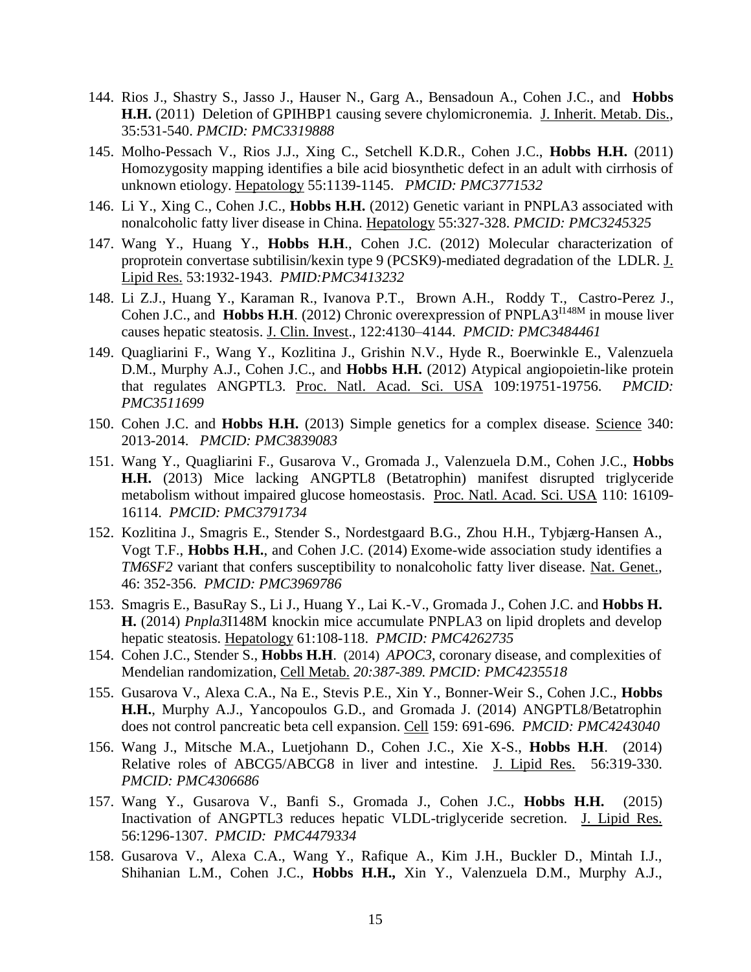- 144. Rios J., Shastry S., Jasso J., Hauser N., Garg A., Bensadoun A., Cohen J.C., and **Hobbs H.H.** (2011) Deletion of GPIHBP1 causing severe chylomicronemia. J. Inherit. Metab. Dis., 35:531-540. *PMCID: PMC3319888*
- 145. Molho-Pessach V., Rios J.J., Xing C., Setchell K.D.R., Cohen J.C., **Hobbs H.H.** (2011) Homozygosity mapping identifies a bile acid biosynthetic defect in an adult with cirrhosis of unknown etiology. Hepatology 55:1139-1145. *PMCID: PMC3771532*
- 146. Li Y., Xing C., Cohen J.C., **Hobbs H.H.** (2012) Genetic variant in PNPLA3 associated with nonalcoholic fatty liver disease in China. Hepatology 55:327-328. *PMCID: PMC3245325*
- 147. Wang Y., Huang Y., **Hobbs H.H**., Cohen J.C. (2012) Molecular characterization of proprotein convertase subtilisin/kexin type 9 (PCSK9)-mediated degradation of the LDLR. J. Lipid Res. 53:1932-1943. *PMID:PMC3413232*
- 148. Li Z.J., Huang Y., Karaman R., Ivanova P.T., Brown A.H., Roddy T., Castro-Perez J., Cohen J.C., and **Hobbs H.H.** (2012) Chronic overexpression of PNPLA3<sup>1148M</sup> in mouse liver causes hepatic steatosis. J. Clin. Invest., 122:4130–4144. *PMCID: PMC3484461*
- 149. Quagliarini F., Wang Y., Kozlitina J., Grishin N.V., Hyde R., Boerwinkle E., Valenzuela D.M., Murphy A.J., Cohen J.C., and **Hobbs H.H.** (2012) Atypical angiopoietin-like protein that regulates ANGPTL3. Proc. Natl. Acad. Sci. USA 109:19751-19756. *PMCID: PMC3511699*
- 150. Cohen J.C. and **Hobbs H.H.** (2013) Simple genetics for a complex disease. Science 340: 2013-2014. *PMCID: PMC3839083*
- 151. Wang Y., Quagliarini F., Gusarova V., Gromada J., Valenzuela D.M., Cohen J.C., **Hobbs H.H.** (2013) Mice lacking ANGPTL8 (Betatrophin) manifest disrupted triglyceride metabolism without impaired glucose homeostasis. Proc. Natl. Acad. Sci. USA 110: 16109- 16114. *PMCID: PMC3791734*
- 152. Kozlitina J., Smagris E., Stender S., Nordestgaard B.G., Zhou H.H., Tybjærg-Hansen A., Vogt T.F., **Hobbs H.H.**, and Cohen J.C. (2014) Exome-wide association study identifies a *TM6SF2* variant that confers susceptibility to nonalcoholic fatty liver disease. Nat. Genet., 46: 352-356. *PMCID: PMC3969786*
- 153. Smagris E., BasuRay S., Li J., Huang Y., Lai K.-V., Gromada J., Cohen J.C. and **Hobbs H. H.** (2014) *Pnpla3*I148M knockin mice accumulate PNPLA3 on lipid droplets and develop hepatic steatosis. Hepatology 61:108-118. *PMCID: PMC4262735*
- 154. Cohen J.C., Stender S., **Hobbs H.H**. (2014)*APOC3*, coronary disease, and complexities of Mendelian randomization, Cell Metab. *20:387-389. PMCID: PMC4235518*
- 155. Gusarova V., Alexa C.A., Na E., Stevis P.E., Xin Y., Bonner-Weir S., Cohen J.C., **Hobbs H.H.**, Murphy A.J., Yancopoulos G.D., and Gromada J. (2014) ANGPTL8/Betatrophin does not control pancreatic beta cell expansion. Cell 159: 691-696. *PMCID: PMC4243040*
- 156. Wang J., Mitsche M.A., Luetjohann D., Cohen J.C., Xie X-S., **Hobbs H.H**. (2014) Relative roles of ABCG5/ABCG8 in liver and intestine. J. Lipid Res. 56:319-330. *PMCID: PMC4306686*
- 157. Wang Y., Gusarova V., Banfi S., Gromada J., Cohen J.C., **Hobbs H.H.** (2015) Inactivation of ANGPTL3 reduces hepatic VLDL-triglyceride secretion. J. Lipid Res. 56:1296-1307. *PMCID: PMC4479334*
- 158. Gusarova V., Alexa C.A., Wang Y., Rafique A., Kim J.H., Buckler D., Mintah I.J., Shihanian L.M., Cohen J.C., **Hobbs H.H.,** Xin Y., Valenzuela D.M., Murphy A.J.,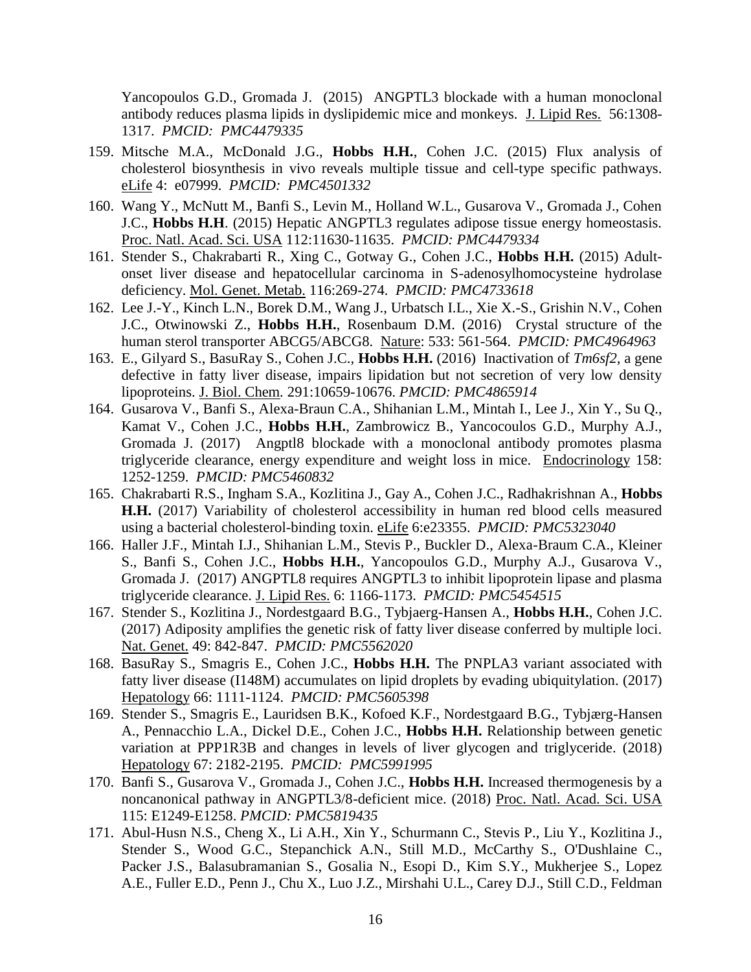Yancopoulos G.D., Gromada J. (2015) ANGPTL3 blockade with a human monoclonal antibody reduces plasma lipids in dyslipidemic mice and monkeys. J. Lipid Res. 56:1308- 1317. *PMCID: PMC4479335*

- 159. Mitsche M.A., McDonald J.G., **Hobbs H.H.**, Cohen J.C. (2015) Flux analysis of cholesterol biosynthesis in vivo reveals multiple tissue and cell-type specific pathways. eLife 4: e07999. *PMCID: PMC4501332*
- 160. Wang Y., McNutt M., Banfi S., Levin M., Holland W.L., Gusarova V., Gromada J., Cohen J.C., **Hobbs H.H**. (2015) Hepatic ANGPTL3 regulates adipose tissue energy homeostasis. Proc. Natl. Acad. Sci. USA 112:11630-11635. *PMCID: PMC4479334*
- 161. Stender S., Chakrabarti R., Xing C., Gotway G., Cohen J.C., **Hobbs H.H.** (2015) Adultonset liver disease and hepatocellular carcinoma in S-adenosylhomocysteine hydrolase deficiency. Mol. Genet. Metab. 116:269-274. *PMCID: PMC4733618*
- 162. Lee J.-Y., Kinch L.N., Borek D.M., Wang J., Urbatsch I.L., Xie X.-S., Grishin N.V., Cohen J.C., Otwinowski Z., **Hobbs H.H.**, Rosenbaum D.M. (2016) Crystal structure of the human sterol transporter ABCG5/ABCG8. Nature: 533: 561-564. *PMCID: PMC4964963*
- 163. E., Gilyard S., BasuRay S., Cohen J.C., **Hobbs H.H.** (2016) Inactivation of *Tm6sf2,* a gene defective in fatty liver disease, impairs lipidation but not secretion of very low density lipoproteins. J. Biol. Chem*.* 291:10659-10676. *PMCID: PMC4865914*
- 164. Gusarova V., Banfi S., Alexa-Braun C.A., Shihanian L.M., Mintah I., Lee J., Xin Y., Su Q., Kamat V., Cohen J.C., **Hobbs H.H.**, Zambrowicz B., Yancocoulos G.D., Murphy A.J., Gromada J. (2017) Angptl8 blockade with a monoclonal antibody promotes plasma triglyceride clearance, energy expenditure and weight loss in mice. Endocrinology 158: 1252-1259. *PMCID: PMC5460832*
- 165. Chakrabarti R.S., Ingham S.A., Kozlitina J., Gay A., Cohen J.C., Radhakrishnan A., **Hobbs H.H.** (2017) Variability of cholesterol accessibility in human red blood cells measured using a bacterial cholesterol-binding toxin. eLife 6:e23355. *PMCID: PMC5323040*
- 166. Haller J.F., Mintah I.J., Shihanian L.M., Stevis P., Buckler D., Alexa-Braum C.A., Kleiner S., Banfi S., Cohen J.C., **Hobbs H.H.**, Yancopoulos G.D., Murphy A.J., Gusarova V., Gromada J. (2017) ANGPTL8 requires ANGPTL3 to inhibit lipoprotein lipase and plasma triglyceride clearance. J. Lipid Res. 6: 1166-1173. *PMCID: PMC5454515*
- 167. Stender S., Kozlitina J., Nordestgaard B.G., Tybjaerg-Hansen A., **Hobbs H.H.**, Cohen J.C. (2017) Adiposity amplifies the genetic risk of fatty liver disease conferred by multiple loci. Nat. Genet. 49: 842-847. *PMCID: PMC5562020*
- 168. BasuRay S., Smagris E., Cohen J.C., **Hobbs H.H.** The PNPLA3 variant associated with fatty liver disease (I148M) accumulates on lipid droplets by evading ubiquitylation. (2017) Hepatology 66: 1111-1124. *PMCID: PMC5605398*
- 169. Stender S., Smagris E., Lauridsen B.K., Kofoed K.F., Nordestgaard B.G., Tybjærg-Hansen A., Pennacchio L.A., Dickel D.E., Cohen J.C., **Hobbs H.H.** Relationship between genetic variation at PPP1R3B and changes in levels of liver glycogen and triglyceride. (2018) Hepatology 67: 2182-2195. *PMCID: PMC5991995*
- 170. Banfi S., Gusarova V., Gromada J., Cohen J.C., **Hobbs H.H.** Increased thermogenesis by a noncanonical pathway in ANGPTL3/8-deficient mice. (2018) Proc. Natl. Acad. Sci. USA 115: E1249-E1258. *PMCID: PMC5819435*
- 171. [Abul-Husn N.S.](https://www.ncbi.nlm.nih.gov/pubmed/?term=Abul-Husn%20NS%5BAuthor%5D&cauthor=true&cauthor_uid=29562163), [Cheng X.](https://www.ncbi.nlm.nih.gov/pubmed/?term=Cheng%20X%5BAuthor%5D&cauthor=true&cauthor_uid=29562163), [Li A.H.](https://www.ncbi.nlm.nih.gov/pubmed/?term=Li%20AH%5BAuthor%5D&cauthor=true&cauthor_uid=29562163), [Xin Y.](https://www.ncbi.nlm.nih.gov/pubmed/?term=Xin%20Y%5BAuthor%5D&cauthor=true&cauthor_uid=29562163), [Schurmann C.](https://www.ncbi.nlm.nih.gov/pubmed/?term=Schurmann%20C%5BAuthor%5D&cauthor=true&cauthor_uid=29562163), [Stevis P.](https://www.ncbi.nlm.nih.gov/pubmed/?term=Stevis%20P%5BAuthor%5D&cauthor=true&cauthor_uid=29562163), [Liu Y.](https://www.ncbi.nlm.nih.gov/pubmed/?term=Liu%20Y%5BAuthor%5D&cauthor=true&cauthor_uid=29562163), [Kozlitina J.](https://www.ncbi.nlm.nih.gov/pubmed/?term=Kozlitina%20J%5BAuthor%5D&cauthor=true&cauthor_uid=29562163), [Stender S.](https://www.ncbi.nlm.nih.gov/pubmed/?term=Stender%20S%5BAuthor%5D&cauthor=true&cauthor_uid=29562163), [Wood G.C.](https://www.ncbi.nlm.nih.gov/pubmed/?term=Wood%20GC%5BAuthor%5D&cauthor=true&cauthor_uid=29562163), [Stepanchick A.N.](https://www.ncbi.nlm.nih.gov/pubmed/?term=Stepanchick%20AN%5BAuthor%5D&cauthor=true&cauthor_uid=29562163), [Still M.D.](https://www.ncbi.nlm.nih.gov/pubmed/?term=Still%20MD%5BAuthor%5D&cauthor=true&cauthor_uid=29562163), [McCarthy S.](https://www.ncbi.nlm.nih.gov/pubmed/?term=McCarthy%20S%5BAuthor%5D&cauthor=true&cauthor_uid=29562163), [O'Dushlaine C.](https://www.ncbi.nlm.nih.gov/pubmed/?term=O), [Packer J.S.](https://www.ncbi.nlm.nih.gov/pubmed/?term=Packer%20JS%5BAuthor%5D&cauthor=true&cauthor_uid=29562163), [Balasubramanian S.](https://www.ncbi.nlm.nih.gov/pubmed/?term=Balasubramanian%20S%5BAuthor%5D&cauthor=true&cauthor_uid=29562163), [Gosalia N.](https://www.ncbi.nlm.nih.gov/pubmed/?term=Gosalia%20N%5BAuthor%5D&cauthor=true&cauthor_uid=29562163), [Esopi D.](https://www.ncbi.nlm.nih.gov/pubmed/?term=Esopi%20D%5BAuthor%5D&cauthor=true&cauthor_uid=29562163), [Kim S.Y.](https://www.ncbi.nlm.nih.gov/pubmed/?term=Kim%20SY%5BAuthor%5D&cauthor=true&cauthor_uid=29562163), [Mukherjee S.](https://www.ncbi.nlm.nih.gov/pubmed/?term=Mukherjee%20S%5BAuthor%5D&cauthor=true&cauthor_uid=29562163), [Lopez](https://www.ncbi.nlm.nih.gov/pubmed/?term=Lopez%20AE%5BAuthor%5D&cauthor=true&cauthor_uid=29562163) [A.E.](https://www.ncbi.nlm.nih.gov/pubmed/?term=Lopez%20AE%5BAuthor%5D&cauthor=true&cauthor_uid=29562163), [Fuller E.D.](https://www.ncbi.nlm.nih.gov/pubmed/?term=Fuller%20ED%5BAuthor%5D&cauthor=true&cauthor_uid=29562163), [Penn J.](https://www.ncbi.nlm.nih.gov/pubmed/?term=Penn%20J%5BAuthor%5D&cauthor=true&cauthor_uid=29562163), [Chu X.](https://www.ncbi.nlm.nih.gov/pubmed/?term=Chu%20X%5BAuthor%5D&cauthor=true&cauthor_uid=29562163), [Luo J.Z.](https://www.ncbi.nlm.nih.gov/pubmed/?term=Luo%20JZ%5BAuthor%5D&cauthor=true&cauthor_uid=29562163), [Mirshahi U.L.](https://www.ncbi.nlm.nih.gov/pubmed/?term=Mirshahi%20UL%5BAuthor%5D&cauthor=true&cauthor_uid=29562163), [Carey D.J.](https://www.ncbi.nlm.nih.gov/pubmed/?term=Carey%20DJ%5BAuthor%5D&cauthor=true&cauthor_uid=29562163), [Still C.D.](https://www.ncbi.nlm.nih.gov/pubmed/?term=Still%20CD%5BAuthor%5D&cauthor=true&cauthor_uid=29562163), [Feldman](https://www.ncbi.nlm.nih.gov/pubmed/?term=Feldman%20MD%5BAuthor%5D&cauthor=true&cauthor_uid=29562163)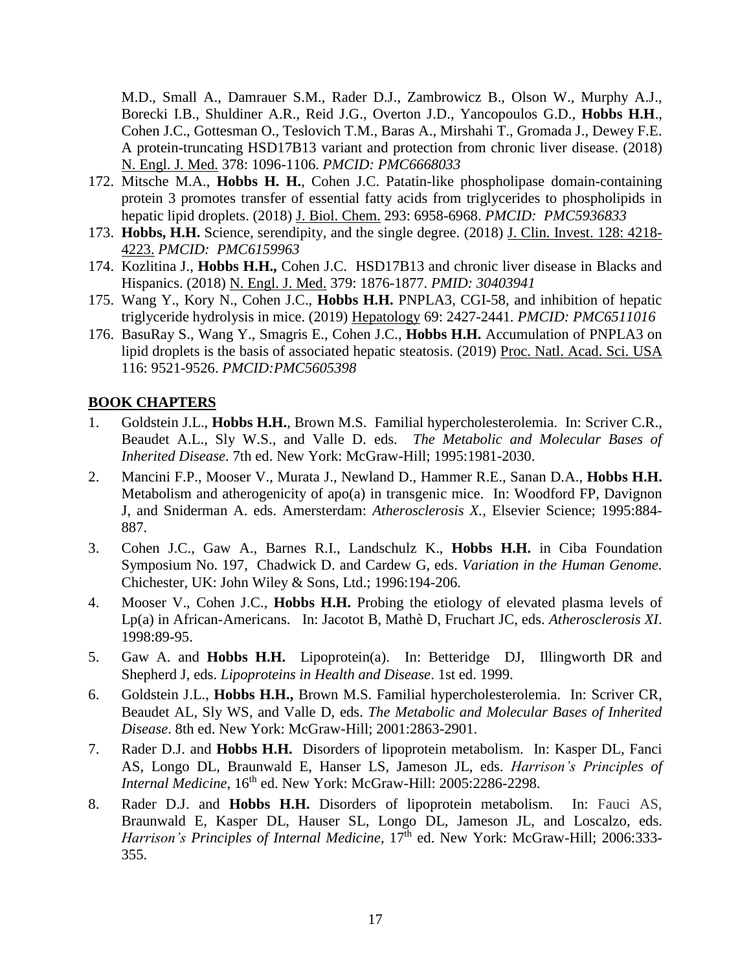[M.D.](https://www.ncbi.nlm.nih.gov/pubmed/?term=Feldman%20MD%5BAuthor%5D&cauthor=true&cauthor_uid=29562163), [Small A.](https://www.ncbi.nlm.nih.gov/pubmed/?term=Small%20A%5BAuthor%5D&cauthor=true&cauthor_uid=29562163), [Damrauer S.M.](https://www.ncbi.nlm.nih.gov/pubmed/?term=Damrauer%20SM%5BAuthor%5D&cauthor=true&cauthor_uid=29562163), [Rader D.J.](https://www.ncbi.nlm.nih.gov/pubmed/?term=Rader%20DJ%5BAuthor%5D&cauthor=true&cauthor_uid=29562163), [Zambrowicz B.](https://www.ncbi.nlm.nih.gov/pubmed/?term=Zambrowicz%20B%5BAuthor%5D&cauthor=true&cauthor_uid=29562163), [Olson W.](https://www.ncbi.nlm.nih.gov/pubmed/?term=Olson%20W%5BAuthor%5D&cauthor=true&cauthor_uid=29562163), [Murphy A.J.](https://www.ncbi.nlm.nih.gov/pubmed/?term=Murphy%20AJ%5BAuthor%5D&cauthor=true&cauthor_uid=29562163), [Borecki I.B.](https://www.ncbi.nlm.nih.gov/pubmed/?term=Borecki%20IB%5BAuthor%5D&cauthor=true&cauthor_uid=29562163), [Shuldiner A.R.](https://www.ncbi.nlm.nih.gov/pubmed/?term=Shuldiner%20AR%5BAuthor%5D&cauthor=true&cauthor_uid=29562163), [Reid J.G.](https://www.ncbi.nlm.nih.gov/pubmed/?term=Reid%20JG%5BAuthor%5D&cauthor=true&cauthor_uid=29562163), [Overton J.D.](https://www.ncbi.nlm.nih.gov/pubmed/?term=Overton%20JD%5BAuthor%5D&cauthor=true&cauthor_uid=29562163), [Yancopoulos G.D.](https://www.ncbi.nlm.nih.gov/pubmed/?term=Yancopoulos%20GD%5BAuthor%5D&cauthor=true&cauthor_uid=29562163), **[Hobbs H.H](https://www.ncbi.nlm.nih.gov/pubmed/?term=Hobbs%20HH%5BAuthor%5D&cauthor=true&cauthor_uid=29562163)**., [Cohen J.C.](https://www.ncbi.nlm.nih.gov/pubmed/?term=Cohen%20JC%5BAuthor%5D&cauthor=true&cauthor_uid=29562163), [Gottesman O.](https://www.ncbi.nlm.nih.gov/pubmed/?term=Gottesman%20O%5BAuthor%5D&cauthor=true&cauthor_uid=29562163), [Teslovich T.M.](https://www.ncbi.nlm.nih.gov/pubmed/?term=Teslovich%20TM%5BAuthor%5D&cauthor=true&cauthor_uid=29562163), [Baras A.](https://www.ncbi.nlm.nih.gov/pubmed/?term=Baras%20A%5BAuthor%5D&cauthor=true&cauthor_uid=29562163), [Mirshahi T.](https://www.ncbi.nlm.nih.gov/pubmed/?term=Mirshahi%20T%5BAuthor%5D&cauthor=true&cauthor_uid=29562163), [Gromada J.](https://www.ncbi.nlm.nih.gov/pubmed/?term=Gromada%20J%5BAuthor%5D&cauthor=true&cauthor_uid=29562163), [Dewey F.E.](https://www.ncbi.nlm.nih.gov/pubmed/?term=Dewey%20FE%5BAuthor%5D&cauthor=true&cauthor_uid=29562163) A protein-truncating HSD17B13 variant and protection from chronic liver disease. (2018) N. Engl. J. Med. 378: 1096-1106. *PMCID: PMC6668033*

- 172. Mitsche M.A., **Hobbs H. H.**, Cohen J.C. Patatin-like phospholipase domain-containing protein 3 promotes transfer of essential fatty acids from triglycerides to phospholipids in hepatic lipid droplets. (2018) J. Biol. Chem. 293: 6958-6968. *PMCID: PMC5936833*
- 173. **Hobbs, H.H.** Science, serendipity, and the single degree. (2018) J. Clin. Invest. 128: 4218- 4223. *PMCID: PMC6159963*
- 174. Kozlitina J., **Hobbs H.H.,** Cohen J.C. HSD17B13 and chronic liver disease in Blacks and Hispanics. (2018) N. Engl. J. Med. 379: 1876-1877. *PMID: 30403941*
- 175. Wang Y., Kory N., Cohen J.C., **Hobbs H.H.** PNPLA3, CGI-58, and inhibition of hepatic triglyceride hydrolysis in mice. (2019) Hepatology 69: 2427-2441*. PMCID: PMC6511016*
- 176. BasuRay S., Wang Y., Smagris E., Cohen J.C., **Hobbs H.H.** Accumulation of PNPLA3 on lipid droplets is the basis of associated hepatic steatosis. (2019) Proc. Natl. Acad. Sci. USA 116: 9521-9526. *PMCID:PMC5605398*

## **BOOK CHAPTERS**

- 1. Goldstein J.L., **Hobbs H.H.**, Brown M.S. Familial hypercholesterolemia. In: Scriver C.R., Beaudet A.L., Sly W.S., and Valle D. eds. *The Metabolic and Molecular Bases of Inherited Disease*. 7th ed. New York: McGraw-Hill; 1995:1981-2030.
- 2. Mancini F.P., Mooser V., Murata J., Newland D., Hammer R.E., Sanan D.A., **Hobbs H.H.** Metabolism and atherogenicity of apo(a) in transgenic mice. In: Woodford FP, Davignon J, and Sniderman A. eds. Amersterdam: *Atherosclerosis X.,* Elsevier Science; 1995:884- 887.
- 3. Cohen J.C., Gaw A., Barnes R.I., Landschulz K., **Hobbs H.H.** in Ciba Foundation Symposium No. 197, Chadwick D. and Cardew G, eds. *Variation in the Human Genome.*  Chichester, UK: John Wiley & Sons, Ltd.; 1996:194-206.
- 4. Mooser V., Cohen J.C., **Hobbs H.H.** Probing the etiology of elevated plasma levels of Lp(a) in African-Americans. In: Jacotot B, Mathè D, Fruchart JC, eds. *Atherosclerosis XI*. 1998:89-95.
- 5. Gaw A. and **Hobbs H.H.** Lipoprotein(a). In: Betteridge DJ, Illingworth DR and Shepherd J, eds. *Lipoproteins in Health and Disease*. 1st ed. 1999.
- 6. Goldstein J.L., **Hobbs H.H.,** Brown M.S. Familial hypercholesterolemia. In: Scriver CR, Beaudet AL, Sly WS, and Valle D, eds. *The Metabolic and Molecular Bases of Inherited Disease*. 8th ed. New York: McGraw-Hill; 2001:2863-2901.
- 7. Rader D.J. and **Hobbs H.H.** Disorders of lipoprotein metabolism. In: Kasper DL, Fanci AS, Longo DL, Braunwald E, Hanser LS, Jameson JL, eds. *Harrison's Principles of Internal Medicine*, 16<sup>th</sup> ed. New York: McGraw-Hill: 2005:2286-2298.
- 8. Rader D.J. and **Hobbs H.H.** Disorders of lipoprotein metabolism. In: Fauci AS, Braunwald E, Kasper DL, Hauser SL, Longo DL, Jameson JL, and Loscalzo, eds. *Harrison's Principles of Internal Medicine*, 17<sup>th</sup> ed. New York: McGraw-Hill; 2006:333-355.